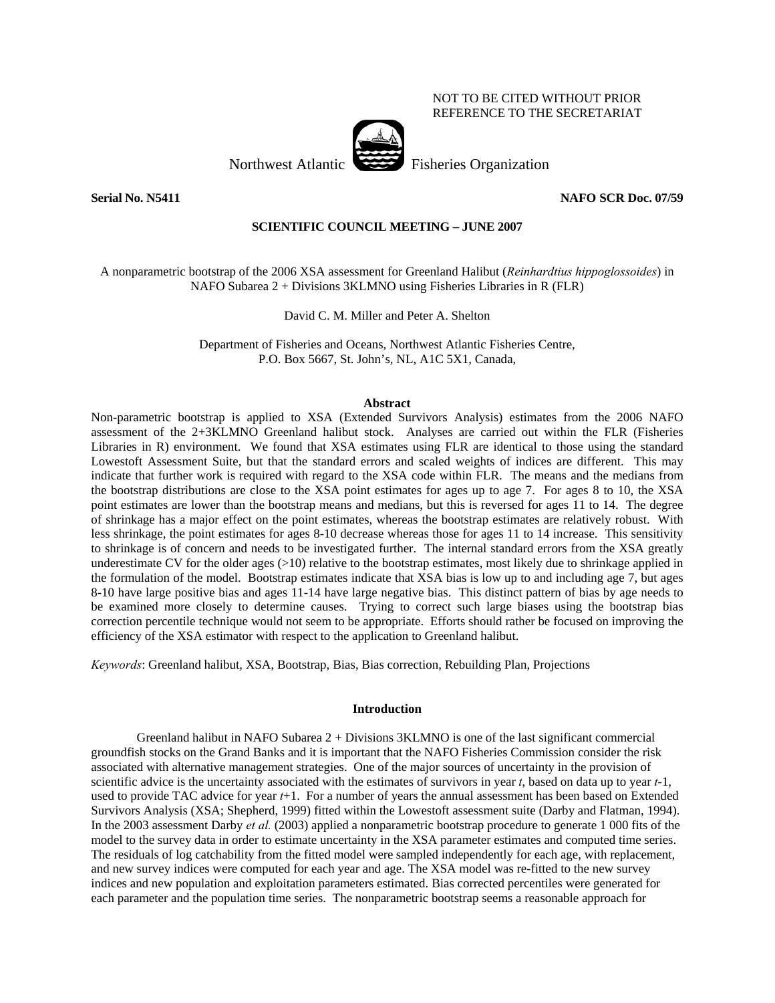### NOT TO BE CITED WITHOUT PRIOR REFERENCE TO THE SECRETARIAT

Northwest Atlantic Fisheries Organization

**Serial No. N5411 NAFO SCR Doc. 07/59** 

## **SCIENTIFIC COUNCIL MEETING – JUNE 2007**

A nonparametric bootstrap of the 2006 XSA assessment for Greenland Halibut (*Reinhardtius hippoglossoides*) in NAFO Subarea 2 + Divisions 3KLMNO using Fisheries Libraries in R (FLR)

David C. M. Miller and Peter A. Shelton

Department of Fisheries and Oceans, Northwest Atlantic Fisheries Centre, P.O. Box 5667, St. John's, NL, A1C 5X1, Canada,

### **Abstract**

Non-parametric bootstrap is applied to XSA (Extended Survivors Analysis) estimates from the 2006 NAFO assessment of the 2+3KLMNO Greenland halibut stock. Analyses are carried out within the FLR (Fisheries Libraries in R) environment. We found that XSA estimates using FLR are identical to those using the standard Lowestoft Assessment Suite, but that the standard errors and scaled weights of indices are different. This may indicate that further work is required with regard to the XSA code within FLR. The means and the medians from the bootstrap distributions are close to the XSA point estimates for ages up to age 7. For ages 8 to 10, the XSA point estimates are lower than the bootstrap means and medians, but this is reversed for ages 11 to 14. The degree of shrinkage has a major effect on the point estimates, whereas the bootstrap estimates are relatively robust. With less shrinkage, the point estimates for ages 8-10 decrease whereas those for ages 11 to 14 increase. This sensitivity to shrinkage is of concern and needs to be investigated further. The internal standard errors from the XSA greatly underestimate CV for the older ages  $(>10)$  relative to the bootstrap estimates, most likely due to shrinkage applied in the formulation of the model. Bootstrap estimates indicate that XSA bias is low up to and including age 7, but ages 8-10 have large positive bias and ages 11-14 have large negative bias. This distinct pattern of bias by age needs to be examined more closely to determine causes. Trying to correct such large biases using the bootstrap bias correction percentile technique would not seem to be appropriate. Efforts should rather be focused on improving the efficiency of the XSA estimator with respect to the application to Greenland halibut.

*Keywords*: Greenland halibut, XSA, Bootstrap, Bias, Bias correction, Rebuilding Plan, Projections

### **Introduction**

Greenland halibut in NAFO Subarea  $2 +$  Divisions 3KLMNO is one of the last significant commercial groundfish stocks on the Grand Banks and it is important that the NAFO Fisheries Commission consider the risk associated with alternative management strategies. One of the major sources of uncertainty in the provision of scientific advice is the uncertainty associated with the estimates of survivors in year *t*, based on data up to year *t*-1, used to provide TAC advice for year *t*+1. For a number of years the annual assessment has been based on Extended Survivors Analysis (XSA; Shepherd, 1999) fitted within the Lowestoft assessment suite (Darby and Flatman, 1994). In the 2003 assessment Darby *et al.* (2003) applied a nonparametric bootstrap procedure to generate 1 000 fits of the model to the survey data in order to estimate uncertainty in the XSA parameter estimates and computed time series. The residuals of log catchability from the fitted model were sampled independently for each age, with replacement, and new survey indices were computed for each year and age. The XSA model was re-fitted to the new survey indices and new population and exploitation parameters estimated. Bias corrected percentiles were generated for each parameter and the population time series. The nonparametric bootstrap seems a reasonable approach for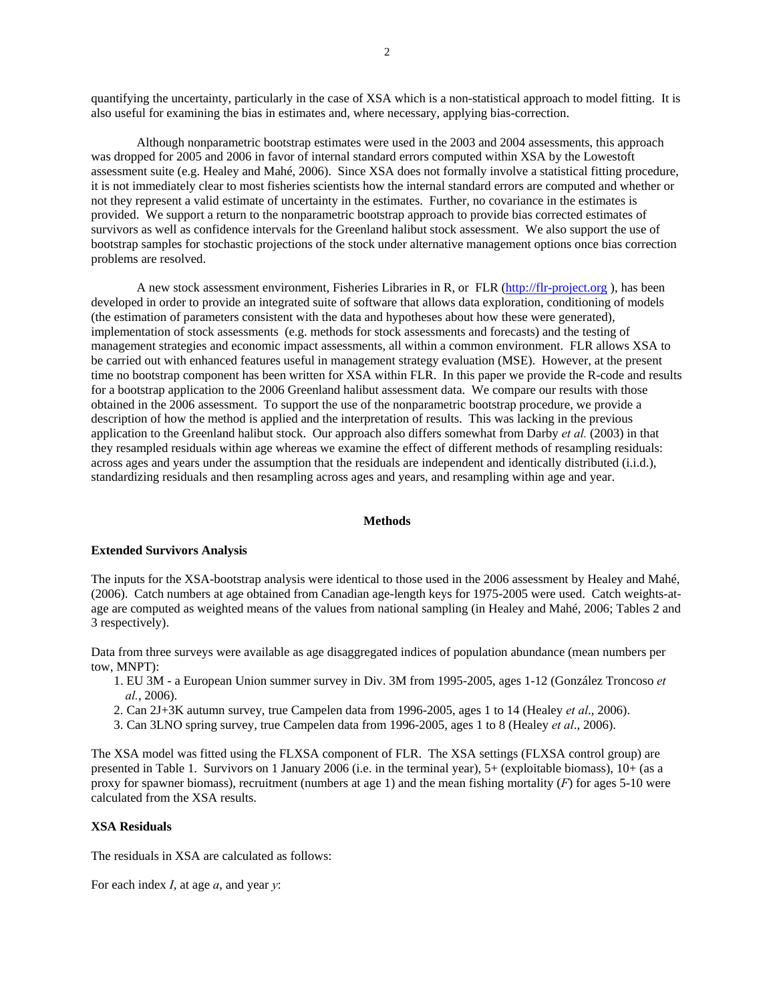quantifying the uncertainty, particularly in the case of XSA which is a non-statistical approach to model fitting. It is also useful for examining the bias in estimates and, where necessary, applying bias-correction.

Although nonparametric bootstrap estimates were used in the 2003 and 2004 assessments, this approach was dropped for 2005 and 2006 in favor of internal standard errors computed within XSA by the Lowestoft assessment suite (e.g. Healey and Mahé, 2006). Since XSA does not formally involve a statistical fitting procedure, it is not immediately clear to most fisheries scientists how the internal standard errors are computed and whether or not they represent a valid estimate of uncertainty in the estimates. Further, no covariance in the estimates is provided. We support a return to the nonparametric bootstrap approach to provide bias corrected estimates of survivors as well as confidence intervals for the Greenland halibut stock assessment. We also support the use of bootstrap samples for stochastic projections of the stock under alternative management options once bias correction problems are resolved.

A new stock assessment environment, Fisheries Libraries in R, or FLR (http://flr-project.org ), has been developed in order to provide an integrated suite of software that allows data exploration, conditioning of models (the estimation of parameters consistent with the data and hypotheses about how these were generated), implementation of stock assessments (e.g. methods for stock assessments and forecasts) and the testing of management strategies and economic impact assessments, all within a common environment. FLR allows XSA to be carried out with enhanced features useful in management strategy evaluation (MSE). However, at the present time no bootstrap component has been written for XSA within FLR. In this paper we provide the R-code and results for a bootstrap application to the 2006 Greenland halibut assessment data. We compare our results with those obtained in the 2006 assessment. To support the use of the nonparametric bootstrap procedure, we provide a description of how the method is applied and the interpretation of results. This was lacking in the previous application to the Greenland halibut stock. Our approach also differs somewhat from Darby *et al.* (2003) in that they resampled residuals within age whereas we examine the effect of different methods of resampling residuals: across ages and years under the assumption that the residuals are independent and identically distributed (i.i.d.), standardizing residuals and then resampling across ages and years, and resampling within age and year.

#### **Methods**

### **Extended Survivors Analysis**

The inputs for the XSA-bootstrap analysis were identical to those used in the 2006 assessment by Healey and Mahé, (2006). Catch numbers at age obtained from Canadian age-length keys for 1975-2005 were used. Catch weights-atage are computed as weighted means of the values from national sampling (in Healey and Mahé, 2006; Tables 2 and 3 respectively).

Data from three surveys were available as age disaggregated indices of population abundance (mean numbers per tow, MNPT):

- 1. EU 3M a European Union summer survey in Div. 3M from 1995-2005, ages 1-12 (González Troncoso *et al.*, 2006).
- 2. Can 2J+3K autumn survey, true Campelen data from 1996-2005, ages 1 to 14 (Healey *et al*., 2006).
- 3. Can 3LNO spring survey, true Campelen data from 1996-2005, ages 1 to 8 (Healey *et al*., 2006).

The XSA model was fitted using the FLXSA component of FLR. The XSA settings (FLXSA control group) are presented in Table 1. Survivors on 1 January 2006 (i.e. in the terminal year), 5+ (exploitable biomass), 10+ (as a proxy for spawner biomass), recruitment (numbers at age 1) and the mean fishing mortality (*F*) for ages 5-10 were calculated from the XSA results.

### **XSA Residuals**

The residuals in XSA are calculated as follows:

For each index *I*, at age *a*, and year *y*: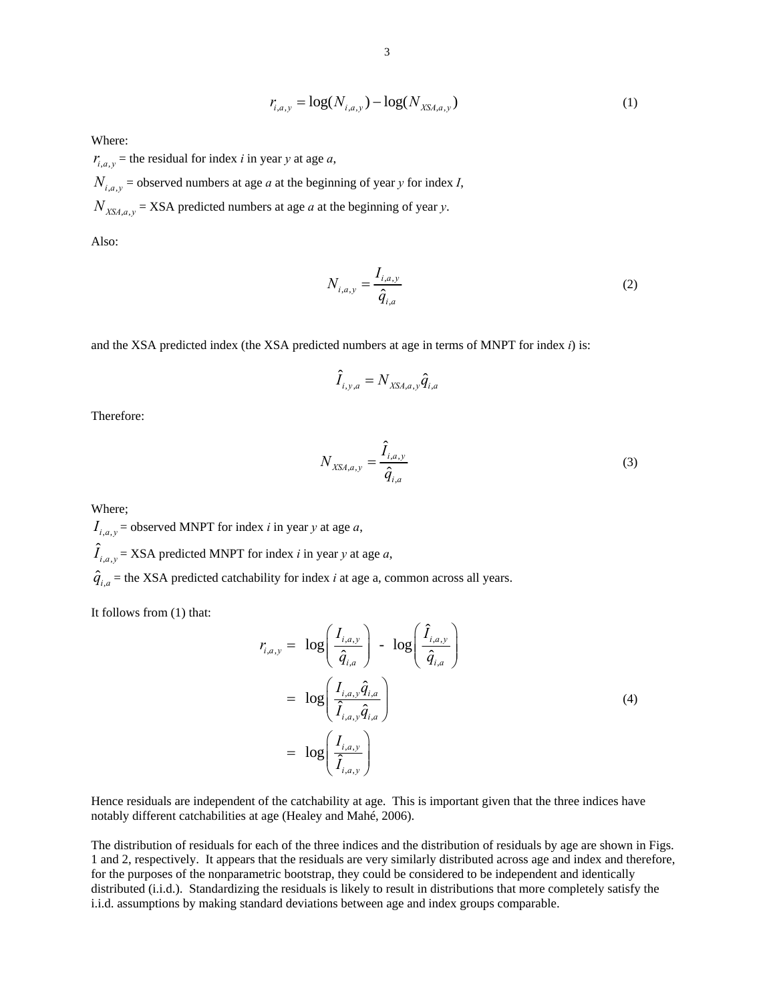$$
r_{i,a,y} = \log(N_{i,a,y}) - \log(N_{XSA,a,y})
$$
\n(1)

Where:

 $r_{i.a.v}$  = the residual for index *i* in year *y* at age *a*,  $N_{i,a,y}$  = observed numbers at age *a* at the beginning of year *y* for index *I*,  $N_{XX, a, y}$  = XSA predicted numbers at age *a* at the beginning of year *y*.

Also:

$$
N_{i,a,y} = \frac{I_{i,a,y}}{\hat{q}_{i,a}}
$$
 (2)

and the XSA predicted index (the XSA predicted numbers at age in terms of MNPT for index *i*) is:

$$
\hat{I}_{i,y,a} = N_{XSA,a,y} \hat{q}_{i,a}
$$

Therefore:

$$
N_{XSA,a,y} = \frac{\hat{I}_{i,a,y}}{\hat{q}_{i,a}}
$$
\n
$$
(3)
$$

Where;

 $I_{i,a,v}$  = observed MNPT for index *i* in year *y* at age *a*,

 $\hat{I}_{i,a,y}$  = XSA predicted MNPT for index *i* in year *y* at age *a*,

 $\hat{q}_{i,a}$  = the XSA predicted catchability for index *i* at age a, common across all years.

It follows from (1) that:

$$
r_{i,a,y} = \log\left(\frac{I_{i,a,y}}{\hat{q}_{i,a}}\right) - \log\left(\frac{\hat{I}_{i,a,y}}{\hat{q}_{i,a}}\right)
$$
  
= 
$$
\log\left(\frac{I_{i,a,y}\hat{q}_{i,a}}{\hat{I}_{i,a,y}\hat{q}_{i,a}}\right)
$$
  
= 
$$
\log\left(\frac{I_{i,a,y}}{\hat{I}_{i,a,y}}\right)
$$
 (4)

Hence residuals are independent of the catchability at age. This is important given that the three indices have notably different catchabilities at age (Healey and Mahé, 2006).

The distribution of residuals for each of the three indices and the distribution of residuals by age are shown in Figs. 1 and 2, respectively. It appears that the residuals are very similarly distributed across age and index and therefore, for the purposes of the nonparametric bootstrap, they could be considered to be independent and identically distributed (i.i.d.). Standardizing the residuals is likely to result in distributions that more completely satisfy the i.i.d. assumptions by making standard deviations between age and index groups comparable.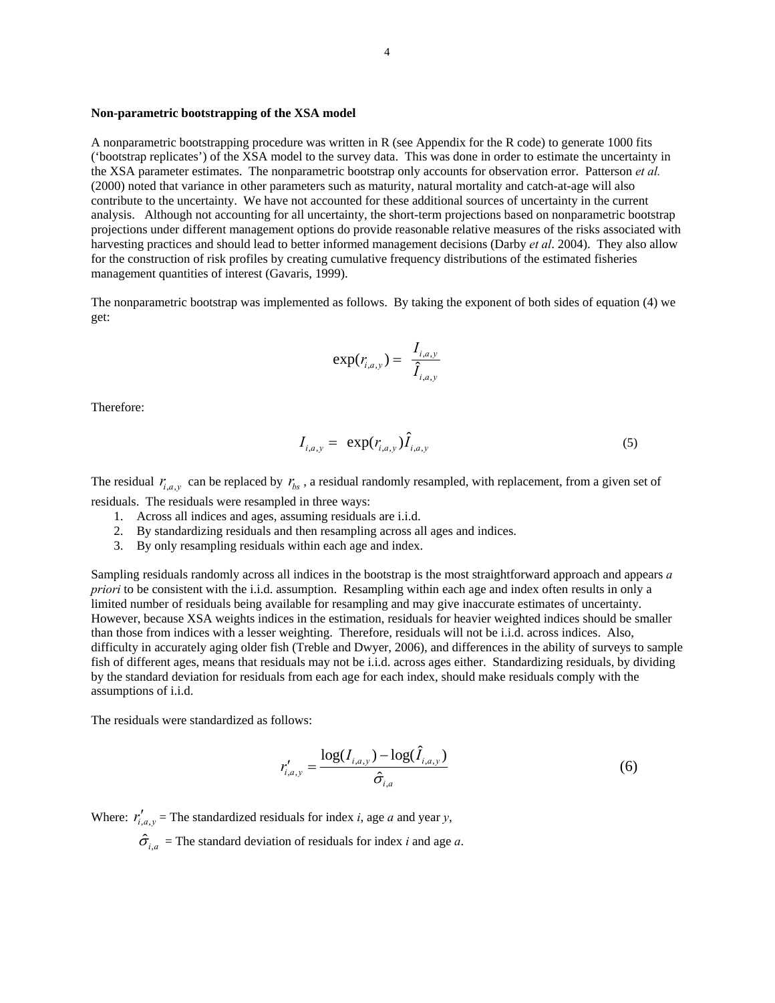### **Non-parametric bootstrapping of the XSA model**

A nonparametric bootstrapping procedure was written in R (see Appendix for the R code) to generate 1000 fits ('bootstrap replicates') of the XSA model to the survey data. This was done in order to estimate the uncertainty in the XSA parameter estimates. The nonparametric bootstrap only accounts for observation error. Patterson *et al.* (2000) noted that variance in other parameters such as maturity, natural mortality and catch-at-age will also contribute to the uncertainty. We have not accounted for these additional sources of uncertainty in the current analysis. Although not accounting for all uncertainty, the short-term projections based on nonparametric bootstrap projections under different management options do provide reasonable relative measures of the risks associated with harvesting practices and should lead to better informed management decisions (Darby *et al*. 2004). They also allow for the construction of risk profiles by creating cumulative frequency distributions of the estimated fisheries management quantities of interest (Gavaris, 1999).

The nonparametric bootstrap was implemented as follows. By taking the exponent of both sides of equation (4) we get:

$$
\exp(r_{i,a,y}) = \frac{I_{i,a,y}}{\hat{I}_{i,a,y}}
$$

Therefore:

$$
I_{i,a,y} = \exp(r_{i,a,y}) \hat{I}_{i,a,y}
$$
 (5)

The residual  $r_{i,a,v}$  can be replaced by  $r_{bs}$ , a residual randomly resampled, with replacement, from a given set of residuals. The residuals were resampled in three ways:

- 1. Across all indices and ages, assuming residuals are i.i.d.
- 2. By standardizing residuals and then resampling across all ages and indices.
- 3. By only resampling residuals within each age and index.

Sampling residuals randomly across all indices in the bootstrap is the most straightforward approach and appears *a priori* to be consistent with the i.i.d. assumption. Resampling within each age and index often results in only a limited number of residuals being available for resampling and may give inaccurate estimates of uncertainty. However, because XSA weights indices in the estimation, residuals for heavier weighted indices should be smaller than those from indices with a lesser weighting. Therefore, residuals will not be i.i.d. across indices. Also, difficulty in accurately aging older fish (Treble and Dwyer, 2006), and differences in the ability of surveys to sample fish of different ages, means that residuals may not be i.i.d. across ages either. Standardizing residuals, by dividing by the standard deviation for residuals from each age for each index, should make residuals comply with the assumptions of i.i.d.

The residuals were standardized as follows:

$$
r'_{i,a,y} = \frac{\log(I_{i,a,y}) - \log(\hat{I}_{i,a,y})}{\hat{\sigma}_{i,a}}
$$
(6)

Where:  $r'_{i,a,v}$  = The standardized residuals for index *i*, age *a* and year *y*,

 $\hat{\sigma}_{i,a}$  = The standard deviation of residuals for index *i* and age *a*.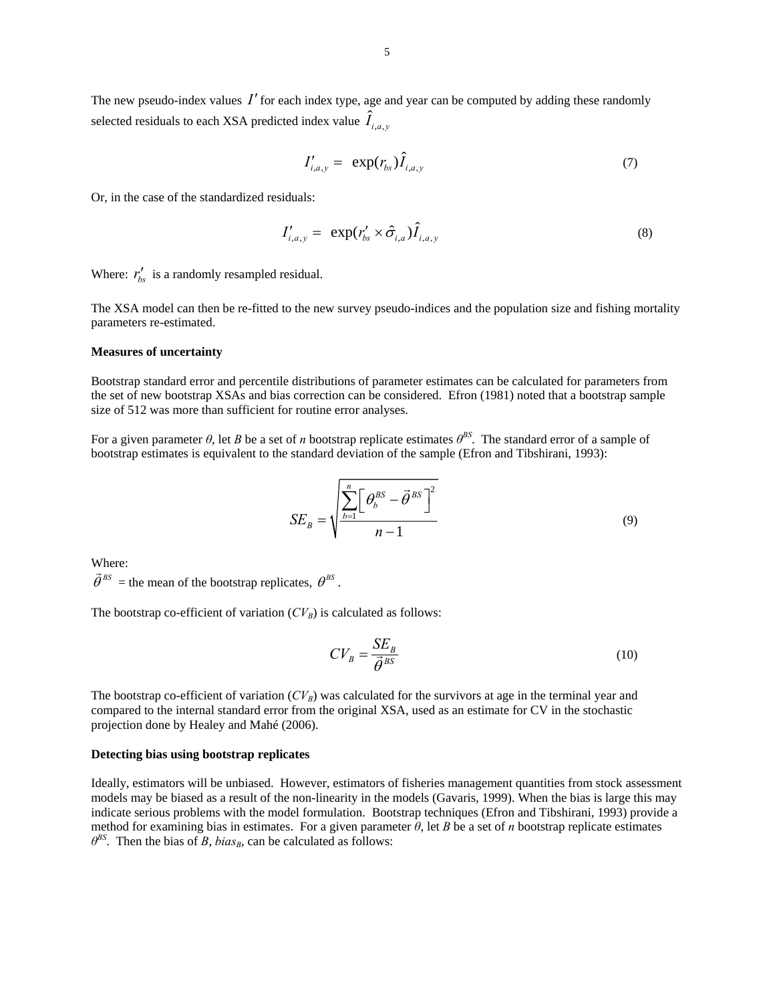The new pseudo-index values  $I'$  for each index type, age and year can be computed by adding these randomly selected residuals to each XSA predicted index value  $\hat{I}_{i,a,y}$ 

$$
I'_{i,a,y} = \exp(r_{bs})\hat{I}_{i,a,y} \tag{7}
$$

Or, in the case of the standardized residuals:

$$
I'_{i,a,y} = \exp(r'_{bs} \times \hat{\sigma}_{i,a}) \hat{I}_{i,a,y} \tag{8}
$$

Where:  $r'_{bs}$  is a randomly resampled residual.

The XSA model can then be re-fitted to the new survey pseudo-indices and the population size and fishing mortality parameters re-estimated.

#### **Measures of uncertainty**

Bootstrap standard error and percentile distributions of parameter estimates can be calculated for parameters from the set of new bootstrap XSAs and bias correction can be considered. Efron (1981) noted that a bootstrap sample size of 512 was more than sufficient for routine error analyses.

For a given parameter  $\theta$ , let *B* be a set of *n* bootstrap replicate estimates  $\theta^{BS}$ . The standard error of a sample of bootstrap estimates is equivalent to the standard deviation of the sample (Efron and Tibshirani, 1993):

$$
SE_B = \sqrt{\frac{\sum_{b=1}^{n} \left[ \theta_b^{BS} - \vec{\theta}^{BS} \right]^2}{n-1}}
$$
(9)

Where:

 $\vec{\theta}^{BS}$  = the mean of the bootstrap replicates,  $\theta^{BS}$ .

The bootstrap co-efficient of variation  $(CV_B)$  is calculated as follows:

$$
CV_B = \frac{SE_B}{\vec{\theta}^{BS}}
$$
 (10)

The bootstrap co-efficient of variation  $(CV_B)$  was calculated for the survivors at age in the terminal year and compared to the internal standard error from the original XSA, used as an estimate for CV in the stochastic projection done by Healey and Mahé (2006).

### **Detecting bias using bootstrap replicates**

Ideally, estimators will be unbiased. However, estimators of fisheries management quantities from stock assessment models may be biased as a result of the non-linearity in the models (Gavaris, 1999). When the bias is large this may indicate serious problems with the model formulation. Bootstrap techniques (Efron and Tibshirani, 1993) provide a method for examining bias in estimates. For a given parameter *θ*, let *B* be a set of *n* bootstrap replicate estimates  $\theta^{BS}$ . Then the bias of *B*, *bias<sub>B</sub>*, can be calculated as follows: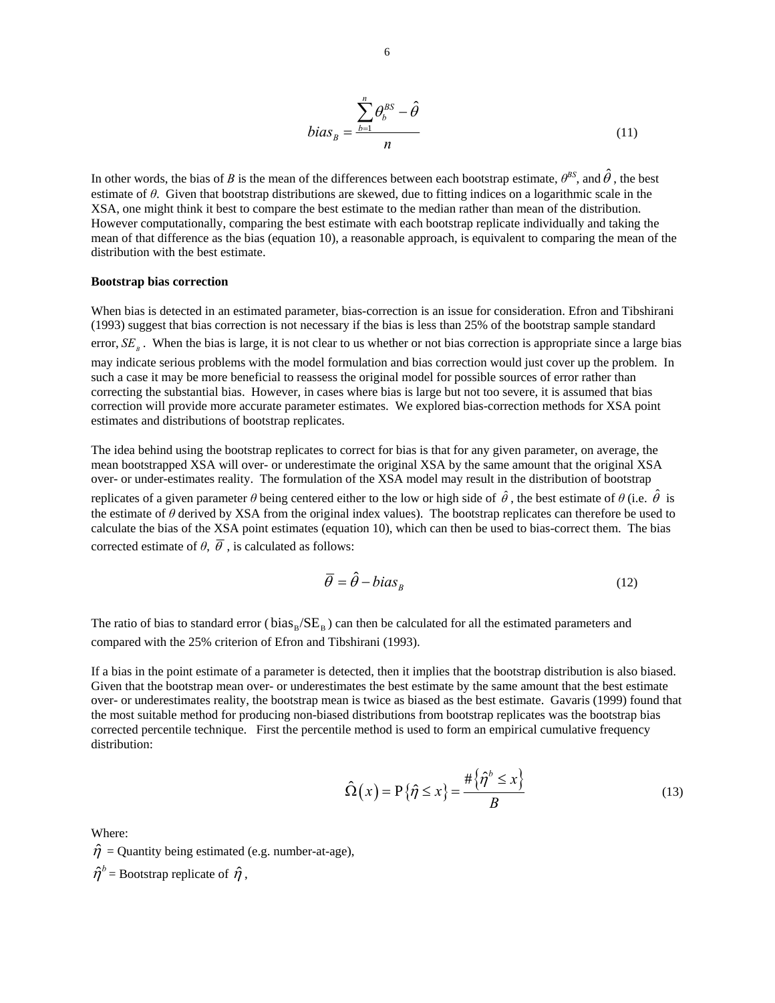$$
bias_B = \frac{\sum_{b=1}^{n} \theta_b^{BS} - \hat{\theta}}{n}
$$
\n(11)

In other words, the bias of *B* is the mean of the differences between each bootstrap estimate,  $\theta^{BS}$ , and  $\hat{\theta}$ , the best estimate of *θ*. Given that bootstrap distributions are skewed, due to fitting indices on a logarithmic scale in the XSA, one might think it best to compare the best estimate to the median rather than mean of the distribution. However computationally, comparing the best estimate with each bootstrap replicate individually and taking the mean of that difference as the bias (equation 10), a reasonable approach, is equivalent to comparing the mean of the distribution with the best estimate.

#### **Bootstrap bias correction**

When bias is detected in an estimated parameter, bias-correction is an issue for consideration. Efron and Tibshirani (1993) suggest that bias correction is not necessary if the bias is less than 25% of the bootstrap sample standard error, *SE*<sub>*i*</sub>. When the bias is large, it is not clear to us whether or not bias correction is appropriate since a large bias may indicate serious problems with the model formulation and bias correction would just cover up the problem. In such a case it may be more beneficial to reassess the original model for possible sources of error rather than correcting the substantial bias. However, in cases where bias is large but not too severe, it is assumed that bias correction will provide more accurate parameter estimates. We explored bias-correction methods for XSA point estimates and distributions of bootstrap replicates.

The idea behind using the bootstrap replicates to correct for bias is that for any given parameter, on average, the mean bootstrapped XSA will over- or underestimate the original XSA by the same amount that the original XSA over- or under-estimates reality. The formulation of the XSA model may result in the distribution of bootstrap replicates of a given parameter  $\theta$  being centered either to the low or high side of  $\hat{\theta}$ , the best estimate of  $\theta$  (i.e.  $\hat{\theta}$  is the estimate of *θ* derived by XSA from the original index values). The bootstrap replicates can therefore be used to calculate the bias of the XSA point estimates (equation 10), which can then be used to bias-correct them. The bias corrected estimate of  $\theta$ ,  $\overline{\theta}$ , is calculated as follows:

$$
\overline{\theta} = \hat{\theta} - bias_B \tag{12}
$$

The ratio of bias to standard error ( $bias_B/SE_B$ ) can then be calculated for all the estimated parameters and compared with the 25% criterion of Efron and Tibshirani (1993).

If a bias in the point estimate of a parameter is detected, then it implies that the bootstrap distribution is also biased. Given that the bootstrap mean over- or underestimates the best estimate by the same amount that the best estimate over- or underestimates reality, the bootstrap mean is twice as biased as the best estimate. Gavaris (1999) found that the most suitable method for producing non-biased distributions from bootstrap replicates was the bootstrap bias corrected percentile technique. First the percentile method is used to form an empirical cumulative frequency distribution:

$$
\hat{\Omega}(x) = P\{\hat{\eta} \le x\} = \frac{\#\{\hat{\eta}^b \le x\}}{B}
$$
\n(13)

Where:

 $\hat{\eta}$  = Quantity being estimated (e.g. number-at-age),  $\hat{\eta}^b$  = Bootstrap replicate of  $\hat{\eta}$ ,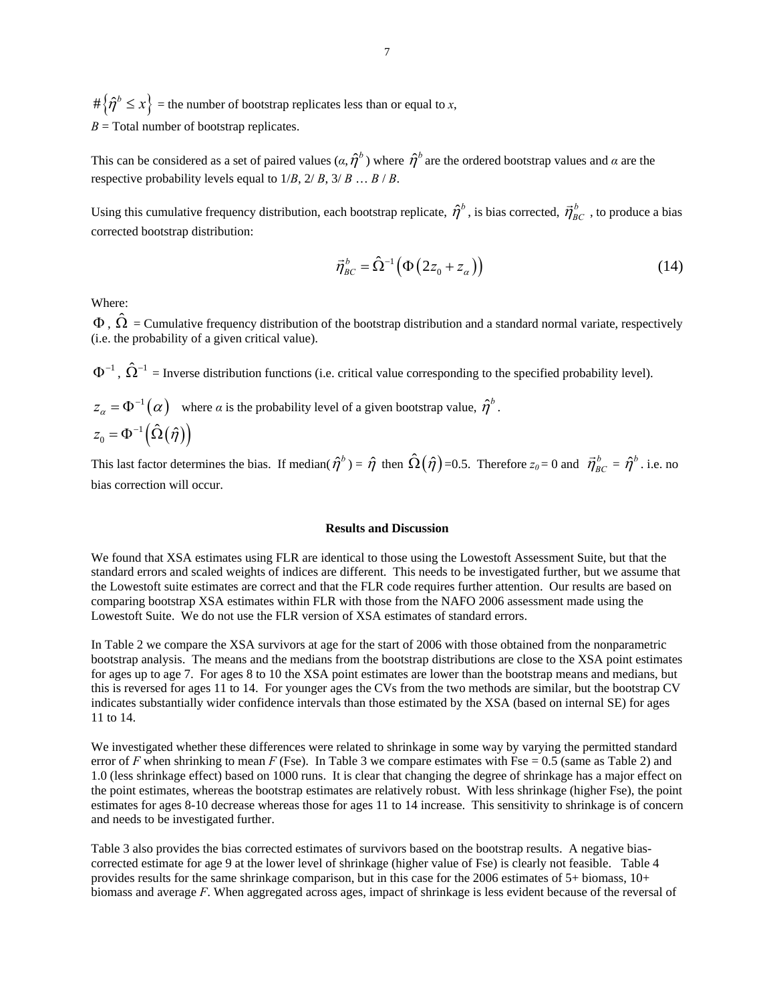$# \{\hat{\eta}^b \leq x\}$  = the number of bootstrap replicates less than or equal to *x*,  $B =$ Total number of bootstrap replicates.

This can be considered as a set of paired values  $(a, \hat{\eta}^b)$  where  $\hat{\eta}^b$  are the ordered bootstrap values and  $a$  are the respective probability levels equal to  $1/B$ ,  $2/B$ ,  $3/B$  ...  $B/B$ .

Using this cumulative frequency distribution, each bootstrap replicate,  $\hat{\eta}^b$ , is bias corrected,  $\vec{\eta}^b_{BC}$ , to produce a bias corrected bootstrap distribution:

$$
\vec{\eta}_{BC}^b = \hat{\Omega}^{-1} \left( \Phi \left( 2z_0 + z_\alpha \right) \right) \tag{14}
$$

Where:

 $\Phi$ ,  $\hat{\Omega}$  = Cumulative frequency distribution of the bootstrap distribution and a standard normal variate, respectively (i.e. the probability of a given critical value).

 $\Phi^{-1}$ ,  $\hat{\Omega}^{-1}$  = Inverse distribution functions (i.e. critical value corresponding to the specified probability level).

$$
z_{\alpha} = \Phi^{-1}(\alpha)
$$
 where  $\alpha$  is the probability level of a given bootstrap value,  $\hat{\eta}^b$   

$$
z_0 = \Phi^{-1}(\hat{\Omega}(\hat{\eta}))
$$

This last factor determines the bias. If median( $\hat{\eta}^b$ ) =  $\hat{\eta}$  then  $\hat{\Omega}(\hat{\eta})$ =0.5. Therefore  $z_0$ =0 and  $\vec{\eta}^b_{BC} = \hat{\eta}^b$ . i.e. no bias correction will occur.

### **Results and Discussion**

We found that XSA estimates using FLR are identical to those using the Lowestoft Assessment Suite, but that the standard errors and scaled weights of indices are different. This needs to be investigated further, but we assume that the Lowestoft suite estimates are correct and that the FLR code requires further attention. Our results are based on comparing bootstrap XSA estimates within FLR with those from the NAFO 2006 assessment made using the Lowestoft Suite. We do not use the FLR version of XSA estimates of standard errors.

In Table 2 we compare the XSA survivors at age for the start of 2006 with those obtained from the nonparametric bootstrap analysis. The means and the medians from the bootstrap distributions are close to the XSA point estimates for ages up to age 7. For ages 8 to 10 the XSA point estimates are lower than the bootstrap means and medians, but this is reversed for ages 11 to 14. For younger ages the CVs from the two methods are similar, but the bootstrap CV indicates substantially wider confidence intervals than those estimated by the XSA (based on internal SE) for ages 11 to 14.

We investigated whether these differences were related to shrinkage in some way by varying the permitted standard error of *F* when shrinking to mean *F* (Fse). In Table 3 we compare estimates with Fse = 0.5 (same as Table 2) and 1.0 (less shrinkage effect) based on 1000 runs. It is clear that changing the degree of shrinkage has a major effect on the point estimates, whereas the bootstrap estimates are relatively robust. With less shrinkage (higher Fse), the point estimates for ages 8-10 decrease whereas those for ages 11 to 14 increase. This sensitivity to shrinkage is of concern and needs to be investigated further.

Table 3 also provides the bias corrected estimates of survivors based on the bootstrap results. A negative biascorrected estimate for age 9 at the lower level of shrinkage (higher value of Fse) is clearly not feasible. Table 4 provides results for the same shrinkage comparison, but in this case for the 2006 estimates of 5+ biomass, 10+ biomass and average *F*. When aggregated across ages, impact of shrinkage is less evident because of the reversal of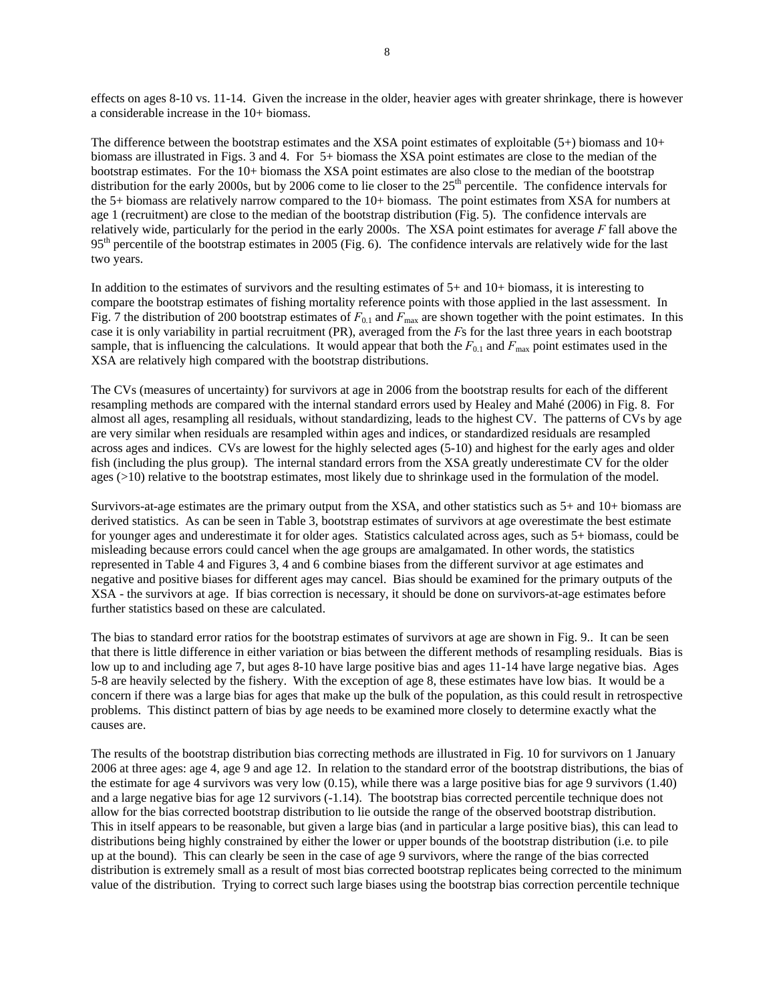effects on ages 8-10 vs. 11-14. Given the increase in the older, heavier ages with greater shrinkage, there is however a considerable increase in the 10+ biomass.

The difference between the bootstrap estimates and the XSA point estimates of exploitable (5+) biomass and 10+ biomass are illustrated in Figs. 3 and 4. For 5+ biomass the XSA point estimates are close to the median of the bootstrap estimates. For the 10+ biomass the XSA point estimates are also close to the median of the bootstrap distribution for the early 2000s, but by 2006 come to lie closer to the  $25<sup>th</sup>$  percentile. The confidence intervals for the 5+ biomass are relatively narrow compared to the 10+ biomass. The point estimates from XSA for numbers at age 1 (recruitment) are close to the median of the bootstrap distribution (Fig. 5). The confidence intervals are relatively wide, particularly for the period in the early 2000s. The XSA point estimates for average *F* fall above the  $95<sup>th</sup>$  percentile of the bootstrap estimates in 2005 (Fig. 6). The confidence intervals are relatively wide for the last two years.

In addition to the estimates of survivors and the resulting estimates of 5+ and 10+ biomass, it is interesting to compare the bootstrap estimates of fishing mortality reference points with those applied in the last assessment. In Fig. 7 the distribution of 200 bootstrap estimates of  $F_{0,1}$  and  $F_{\text{max}}$  are shown together with the point estimates. In this case it is only variability in partial recruitment (PR), averaged from the *F*s for the last three years in each bootstrap sample, that is influencing the calculations. It would appear that both the  $F_{0.1}$  and  $F_{\text{max}}$  point estimates used in the XSA are relatively high compared with the bootstrap distributions.

The CVs (measures of uncertainty) for survivors at age in 2006 from the bootstrap results for each of the different resampling methods are compared with the internal standard errors used by Healey and Mahé (2006) in Fig. 8. For almost all ages, resampling all residuals, without standardizing, leads to the highest CV. The patterns of CVs by age are very similar when residuals are resampled within ages and indices, or standardized residuals are resampled across ages and indices. CVs are lowest for the highly selected ages (5-10) and highest for the early ages and older fish (including the plus group). The internal standard errors from the XSA greatly underestimate CV for the older ages (>10) relative to the bootstrap estimates, most likely due to shrinkage used in the formulation of the model.

Survivors-at-age estimates are the primary output from the XSA, and other statistics such as 5+ and 10+ biomass are derived statistics. As can be seen in Table 3, bootstrap estimates of survivors at age overestimate the best estimate for younger ages and underestimate it for older ages. Statistics calculated across ages, such as 5+ biomass, could be misleading because errors could cancel when the age groups are amalgamated. In other words, the statistics represented in Table 4 and Figures 3, 4 and 6 combine biases from the different survivor at age estimates and negative and positive biases for different ages may cancel. Bias should be examined for the primary outputs of the XSA - the survivors at age. If bias correction is necessary, it should be done on survivors-at-age estimates before further statistics based on these are calculated.

The bias to standard error ratios for the bootstrap estimates of survivors at age are shown in Fig. 9.. It can be seen that there is little difference in either variation or bias between the different methods of resampling residuals. Bias is low up to and including age 7, but ages 8-10 have large positive bias and ages 11-14 have large negative bias. Ages 5-8 are heavily selected by the fishery. With the exception of age 8, these estimates have low bias. It would be a concern if there was a large bias for ages that make up the bulk of the population, as this could result in retrospective problems. This distinct pattern of bias by age needs to be examined more closely to determine exactly what the causes are.

The results of the bootstrap distribution bias correcting methods are illustrated in Fig. 10 for survivors on 1 January 2006 at three ages: age 4, age 9 and age 12. In relation to the standard error of the bootstrap distributions, the bias of the estimate for age 4 survivors was very low (0.15), while there was a large positive bias for age 9 survivors (1.40) and a large negative bias for age 12 survivors (-1.14). The bootstrap bias corrected percentile technique does not allow for the bias corrected bootstrap distribution to lie outside the range of the observed bootstrap distribution. This in itself appears to be reasonable, but given a large bias (and in particular a large positive bias), this can lead to distributions being highly constrained by either the lower or upper bounds of the bootstrap distribution (i.e. to pile up at the bound). This can clearly be seen in the case of age 9 survivors, where the range of the bias corrected distribution is extremely small as a result of most bias corrected bootstrap replicates being corrected to the minimum value of the distribution. Trying to correct such large biases using the bootstrap bias correction percentile technique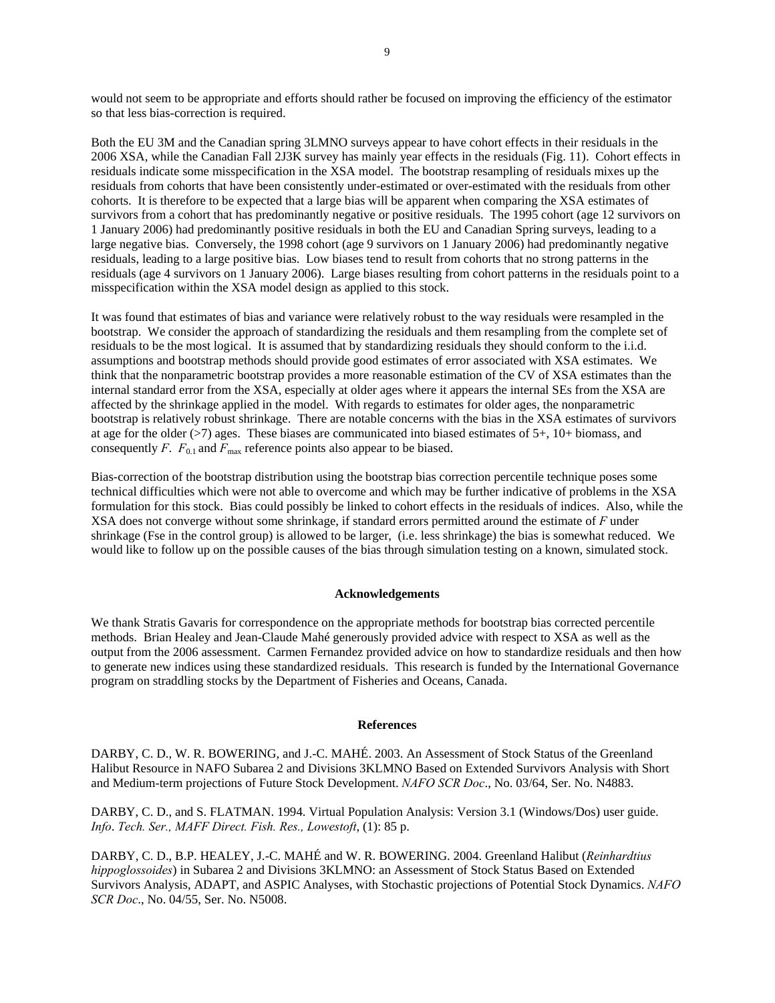would not seem to be appropriate and efforts should rather be focused on improving the efficiency of the estimator so that less bias-correction is required.

Both the EU 3M and the Canadian spring 3LMNO surveys appear to have cohort effects in their residuals in the 2006 XSA, while the Canadian Fall 2J3K survey has mainly year effects in the residuals (Fig. 11). Cohort effects in residuals indicate some misspecification in the XSA model. The bootstrap resampling of residuals mixes up the residuals from cohorts that have been consistently under-estimated or over-estimated with the residuals from other cohorts. It is therefore to be expected that a large bias will be apparent when comparing the XSA estimates of survivors from a cohort that has predominantly negative or positive residuals. The 1995 cohort (age 12 survivors on 1 January 2006) had predominantly positive residuals in both the EU and Canadian Spring surveys, leading to a large negative bias. Conversely, the 1998 cohort (age 9 survivors on 1 January 2006) had predominantly negative residuals, leading to a large positive bias. Low biases tend to result from cohorts that no strong patterns in the residuals (age 4 survivors on 1 January 2006). Large biases resulting from cohort patterns in the residuals point to a misspecification within the XSA model design as applied to this stock.

It was found that estimates of bias and variance were relatively robust to the way residuals were resampled in the bootstrap. We consider the approach of standardizing the residuals and them resampling from the complete set of residuals to be the most logical. It is assumed that by standardizing residuals they should conform to the i.i.d. assumptions and bootstrap methods should provide good estimates of error associated with XSA estimates. We think that the nonparametric bootstrap provides a more reasonable estimation of the CV of XSA estimates than the internal standard error from the XSA, especially at older ages where it appears the internal SEs from the XSA are affected by the shrinkage applied in the model. With regards to estimates for older ages, the nonparametric bootstrap is relatively robust shrinkage. There are notable concerns with the bias in the XSA estimates of survivors at age for the older (>7) ages. These biases are communicated into biased estimates of 5+, 10+ biomass, and consequently *F*.  $F_{0.1}$  and  $F_{\text{max}}$  reference points also appear to be biased.

Bias-correction of the bootstrap distribution using the bootstrap bias correction percentile technique poses some technical difficulties which were not able to overcome and which may be further indicative of problems in the XSA formulation for this stock. Bias could possibly be linked to cohort effects in the residuals of indices. Also, while the XSA does not converge without some shrinkage, if standard errors permitted around the estimate of *F* under shrinkage (Fse in the control group) is allowed to be larger, (i.e. less shrinkage) the bias is somewhat reduced. We would like to follow up on the possible causes of the bias through simulation testing on a known, simulated stock.

#### **Acknowledgements**

We thank Stratis Gavaris for correspondence on the appropriate methods for bootstrap bias corrected percentile methods. Brian Healey and Jean-Claude Mahé generously provided advice with respect to XSA as well as the output from the 2006 assessment. Carmen Fernandez provided advice on how to standardize residuals and then how to generate new indices using these standardized residuals. This research is funded by the International Governance program on straddling stocks by the Department of Fisheries and Oceans, Canada.

#### **References**

DARBY, C. D., W. R. BOWERING, and J.-C. MAHÉ. 2003. An Assessment of Stock Status of the Greenland Halibut Resource in NAFO Subarea 2 and Divisions 3KLMNO Based on Extended Survivors Analysis with Short and Medium-term projections of Future Stock Development. *NAFO SCR Doc*., No. 03/64, Ser. No. N4883.

DARBY, C. D., and S. FLATMAN. 1994. Virtual Population Analysis: Version 3.1 (Windows/Dos) user guide. *Info*. *Tech. Ser., MAFF Direct. Fish. Res., Lowestoft*, (1): 85 p.

DARBY, C. D., B.P. HEALEY, J.-C. MAHÉ and W. R. BOWERING. 2004. Greenland Halibut (*Reinhardtius hippoglossoides*) in Subarea 2 and Divisions 3KLMNO: an Assessment of Stock Status Based on Extended Survivors Analysis, ADAPT, and ASPIC Analyses, with Stochastic projections of Potential Stock Dynamics. *NAFO SCR Doc*., No. 04/55, Ser. No. N5008.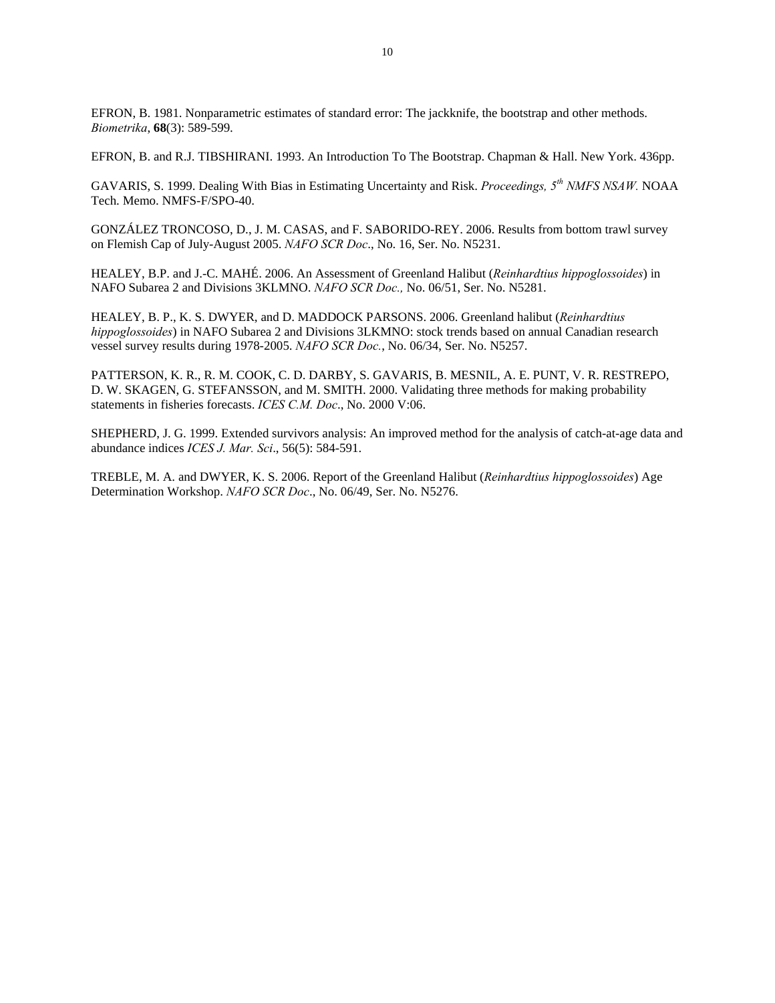EFRON, B. 1981. Nonparametric estimates of standard error: The jackknife, the bootstrap and other methods. *Biometrika*, **68**(3): 589-599.

EFRON, B. and R.J. TIBSHIRANI. 1993. An Introduction To The Bootstrap. Chapman & Hall. New York. 436pp.

GAVARIS, S. 1999. Dealing With Bias in Estimating Uncertainty and Risk. *Proceedings, 5th NMFS NSAW.* NOAA Tech. Memo. NMFS-F/SPO-40.

GONZÁLEZ TRONCOSO, D., J. M. CASAS, and F. SABORIDO-REY. 2006. Results from bottom trawl survey on Flemish Cap of July-August 2005. *NAFO SCR Doc*., No. 16, Ser. No. N5231.

HEALEY, B.P. and J.-C. MAHÉ. 2006. An Assessment of Greenland Halibut (*Reinhardtius hippoglossoides*) in NAFO Subarea 2 and Divisions 3KLMNO. *NAFO SCR Doc.,* No. 06/51, Ser. No. N5281.

HEALEY, B. P., K. S. DWYER, and D. MADDOCK PARSONS. 2006. Greenland halibut (*Reinhardtius hippoglossoides*) in NAFO Subarea 2 and Divisions 3LKMNO: stock trends based on annual Canadian research vessel survey results during 1978-2005. *NAFO SCR Doc.*, No. 06/34, Ser. No. N5257.

PATTERSON, K. R., R. M. COOK, C. D. DARBY, S. GAVARIS, B. MESNIL, A. E. PUNT, V. R. RESTREPO, D. W. SKAGEN, G. STEFANSSON, and M. SMITH. 2000. Validating three methods for making probability statements in fisheries forecasts. *ICES C.M. Doc*., No. 2000 V:06.

SHEPHERD, J. G. 1999. Extended survivors analysis: An improved method for the analysis of catch-at-age data and abundance indices *ICES J. Mar. Sci*., 56(5): 584-591.

TREBLE, M. A. and DWYER, K. S. 2006. Report of the Greenland Halibut (*Reinhardtius hippoglossoides*) Age Determination Workshop. *NAFO SCR Doc*., No. 06/49, Ser. No. N5276.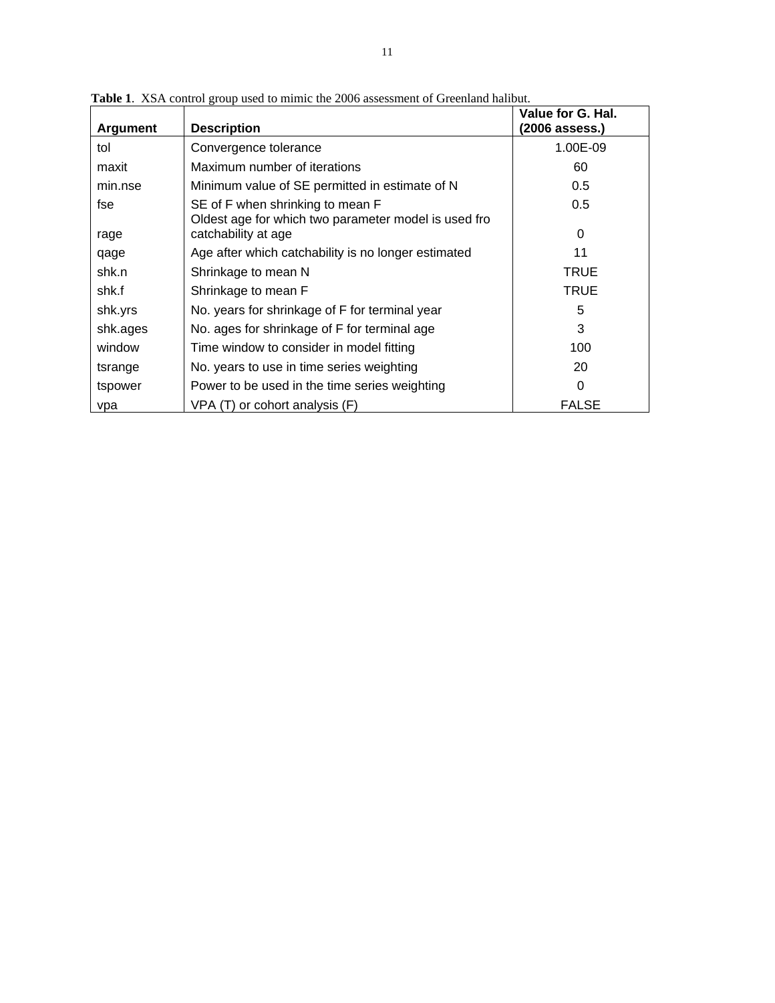| Argument | <b>Description</b>                                                                       | Value for G. Hal.<br>(2006 assess.) |
|----------|------------------------------------------------------------------------------------------|-------------------------------------|
| tol      | Convergence tolerance                                                                    | 1.00E-09                            |
| maxit    | Maximum number of iterations                                                             | 60                                  |
| min.nse  | Minimum value of SE permitted in estimate of N                                           | 0.5                                 |
| fse      | SE of F when shrinking to mean F<br>Oldest age for which two parameter model is used fro | 0.5                                 |
| rage     | catchability at age                                                                      | 0                                   |
| qage     | Age after which catchability is no longer estimated                                      | 11                                  |
| shk.n    | Shrinkage to mean N                                                                      | <b>TRUE</b>                         |
| shk.f    | Shrinkage to mean F                                                                      | <b>TRUE</b>                         |
| shk.yrs  | No. years for shrinkage of F for terminal year                                           | 5                                   |
| shk.ages | No. ages for shrinkage of F for terminal age                                             | 3                                   |
| window   | Time window to consider in model fitting                                                 | 100                                 |
| tsrange  | No. years to use in time series weighting                                                | 20                                  |
| tspower  | Power to be used in the time series weighting                                            | 0                                   |
| vpa      | VPA (T) or cohort analysis (F)                                                           | <b>FALSE</b>                        |

**Table 1**. XSA control group used to mimic the 2006 assessment of Greenland halibut.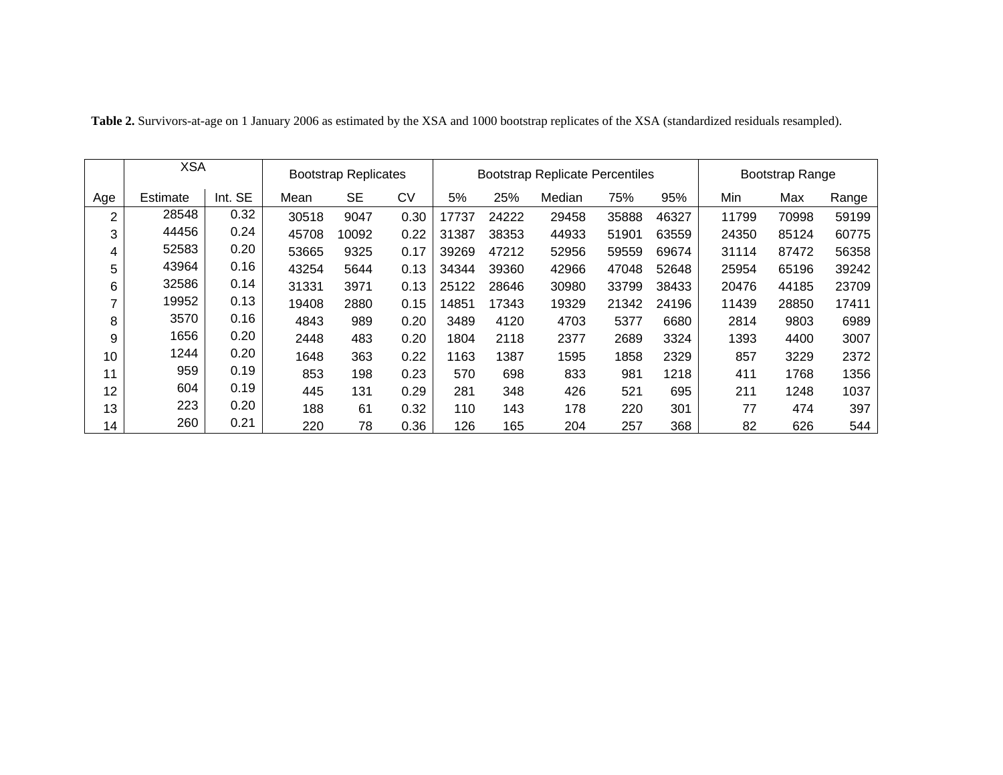|     | <b>XSA</b> |         | <b>Bootstrap Replicates</b> |           |           |       |       | <b>Bootstrap Replicate Percentiles</b> | Bootstrap Range |       |       |       |       |
|-----|------------|---------|-----------------------------|-----------|-----------|-------|-------|----------------------------------------|-----------------|-------|-------|-------|-------|
| Age | Estimate   | Int. SE | Mean                        | <b>SE</b> | <b>CV</b> | 5%    | 25%   | Median                                 | 75%             | 95%   | Min   | Max   | Range |
| 2   | 28548      | 0.32    | 30518                       | 9047      | 0.30      | 17737 | 24222 | 29458                                  | 35888           | 46327 | 11799 | 70998 | 59199 |
| 3   | 44456      | 0.24    | 45708                       | 10092     | 0.22      | 31387 | 38353 | 44933                                  | 51901           | 63559 | 24350 | 85124 | 60775 |
| 4   | 52583      | 0.20    | 53665                       | 9325      | 0.17      | 39269 | 47212 | 52956                                  | 59559           | 69674 | 31114 | 87472 | 56358 |
| 5   | 43964      | 0.16    | 43254                       | 5644      | 0.13      | 34344 | 39360 | 42966                                  | 47048           | 52648 | 25954 | 65196 | 39242 |
| 6   | 32586      | 0.14    | 31331                       | 3971      | 0.13      | 25122 | 28646 | 30980                                  | 33799           | 38433 | 20476 | 44185 | 23709 |
| 7   | 19952      | 0.13    | 19408                       | 2880      | 0.15      | 14851 | 17343 | 19329                                  | 21342           | 24196 | 11439 | 28850 | 17411 |
| 8   | 3570       | 0.16    | 4843                        | 989       | 0.20      | 3489  | 4120  | 4703                                   | 5377            | 6680  | 2814  | 9803  | 6989  |
| 9   | 1656       | 0.20    | 2448                        | 483       | 0.20      | 1804  | 2118  | 2377                                   | 2689            | 3324  | 1393  | 4400  | 3007  |
| 10  | 1244       | 0.20    | 1648                        | 363       | 0.22      | 1163  | 1387  | 1595                                   | 1858            | 2329  | 857   | 3229  | 2372  |
| 11  | 959        | 0.19    | 853                         | 198       | 0.23      | 570   | 698   | 833                                    | 981             | 1218  | 411   | 1768  | 1356  |
| 12  | 604        | 0.19    | 445                         | 131       | 0.29      | 281   | 348   | 426                                    | 521             | 695   | 211   | 1248  | 1037  |
| 13  | 223        | 0.20    | 188                         | 61        | 0.32      | 110   | 143   | 178                                    | 220             | 301   | 77    | 474   | 397   |
| 14  | 260        | 0.21    | 220                         | 78        | 0.36      | 126   | 165   | 204                                    | 257             | 368   | 82    | 626   | 544   |

**Table 2.** Survivors-at-age on 1 January 2006 as estimated by the XSA and 1000 bootstrap replicates of the XSA (standardized residuals resampled).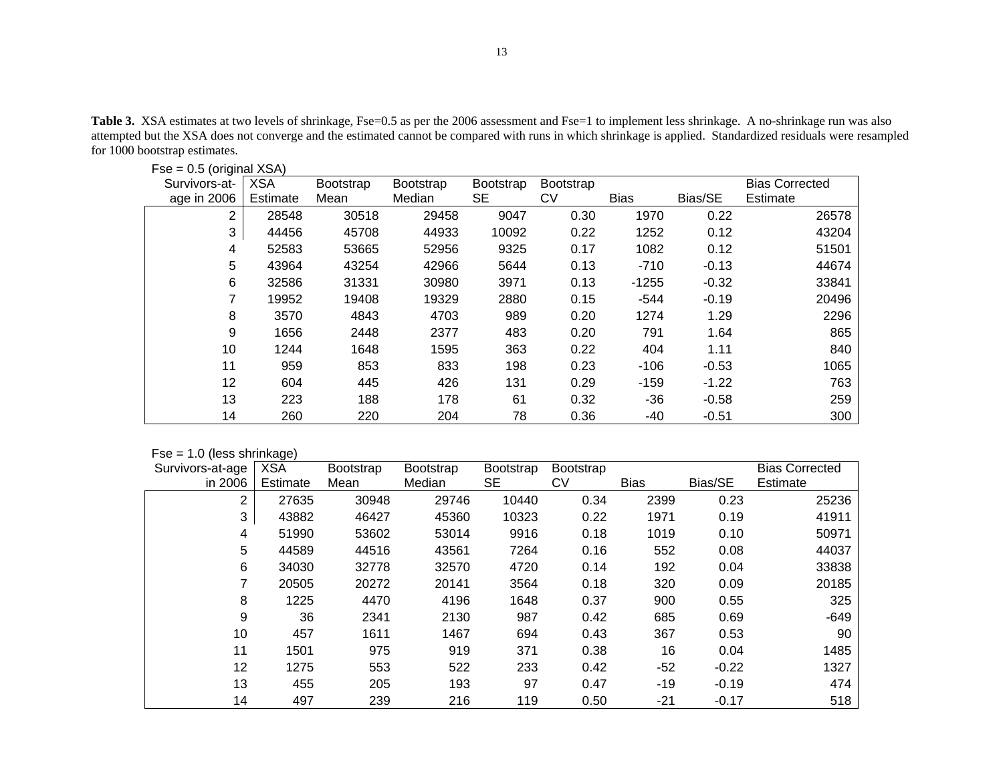Table 3. XSA estimates at two levels of shrinkage, Fse=0.5 as per the 2006 assessment and Fse=1 to implement less shrinkage. A no-shrinkage run was also attempted but the XSA does not converge and the estimated cannot be compared with runs in which shrinkage is applied. Standardized residuals were resampled for 1000 bootstrap estimates.

| $100 - 0.0$ (original $\lambda$ or $\eta$ |            |                  |                  |                  |                  |             |         |                       |
|-------------------------------------------|------------|------------------|------------------|------------------|------------------|-------------|---------|-----------------------|
| Survivors-at-                             | <b>XSA</b> | <b>Bootstrap</b> | <b>Bootstrap</b> | <b>Bootstrap</b> | <b>Bootstrap</b> |             |         | <b>Bias Corrected</b> |
| age in 2006                               | Estimate   | Mean             | Median           | <b>SE</b>        | CV               | <b>Bias</b> | Bias/SE | Estimate              |
| 2                                         | 28548      | 30518            | 29458            | 9047             | 0.30             | 1970        | 0.22    | 26578                 |
| 3                                         | 44456      | 45708            | 44933            | 10092            | 0.22             | 1252        | 0.12    | 43204                 |
| 4                                         | 52583      | 53665            | 52956            | 9325             | 0.17             | 1082        | 0.12    | 51501                 |
| 5                                         | 43964      | 43254            | 42966            | 5644             | 0.13             | $-710$      | $-0.13$ | 44674                 |
| 6                                         | 32586      | 31331            | 30980            | 3971             | 0.13             | $-1255$     | $-0.32$ | 33841                 |
|                                           | 19952      | 19408            | 19329            | 2880             | 0.15             | $-544$      | $-0.19$ | 20496                 |
| 8                                         | 3570       | 4843             | 4703             | 989              | 0.20             | 1274        | 1.29    | 2296                  |
| 9                                         | 1656       | 2448             | 2377             | 483              | 0.20             | 791         | 1.64    | 865                   |
| 10                                        | 1244       | 1648             | 1595             | 363              | 0.22             | 404         | 1.11    | 840                   |
| 11                                        | 959        | 853              | 833              | 198              | 0.23             | $-106$      | $-0.53$ | 1065                  |
| 12                                        | 604        | 445              | 426              | 131              | 0.29             | $-159$      | $-1.22$ | 763                   |
| 13                                        | 223        | 188              | 178              | 61               | 0.32             | $-36$       | $-0.58$ | 259                   |
| 14                                        | 260        | 220              | 204              | 78               | 0.36             | -40         | $-0.51$ | 300                   |

## $Fse = 0.5$  (original XSA)

| $Fse = 1.0$ (less shrinkage) |  |  |
|------------------------------|--|--|
|------------------------------|--|--|

| Survivors-at-age | <b>XSA</b> | <b>Bootstrap</b> | Bootstrap | Bootstrap | <b>Bootstrap</b> |             |         | <b>Bias Corrected</b> |
|------------------|------------|------------------|-----------|-----------|------------------|-------------|---------|-----------------------|
| in 2006          | Estimate   | Mean             | Median    | SE        | CV               | <b>Bias</b> | Bias/SE | Estimate              |
| 2                | 27635      | 30948            | 29746     | 10440     | 0.34             | 2399        | 0.23    | 25236                 |
| 3                | 43882      | 46427            | 45360     | 10323     | 0.22             | 1971        | 0.19    | 41911                 |
| 4                | 51990      | 53602            | 53014     | 9916      | 0.18             | 1019        | 0.10    | 50971                 |
| 5                | 44589      | 44516            | 43561     | 7264      | 0.16             | 552         | 0.08    | 44037                 |
| 6                | 34030      | 32778            | 32570     | 4720      | 0.14             | 192         | 0.04    | 33838                 |
| 7                | 20505      | 20272            | 20141     | 3564      | 0.18             | 320         | 0.09    | 20185                 |
| 8                | 1225       | 4470             | 4196      | 1648      | 0.37             | 900         | 0.55    | 325                   |
| 9                | 36         | 2341             | 2130      | 987       | 0.42             | 685         | 0.69    | $-649$                |
| 10               | 457        | 1611             | 1467      | 694       | 0.43             | 367         | 0.53    | 90                    |
| 11               | 1501       | 975              | 919       | 371       | 0.38             | 16          | 0.04    | 1485                  |
| 12               | 1275       | 553              | 522       | 233       | 0.42             | $-52$       | $-0.22$ | 1327                  |
| 13               | 455        | 205              | 193       | 97        | 0.47             | $-19$       | $-0.19$ | 474                   |
| 14               | 497        | 239              | 216       | 119       | 0.50             | $-21$       | $-0.17$ | 518                   |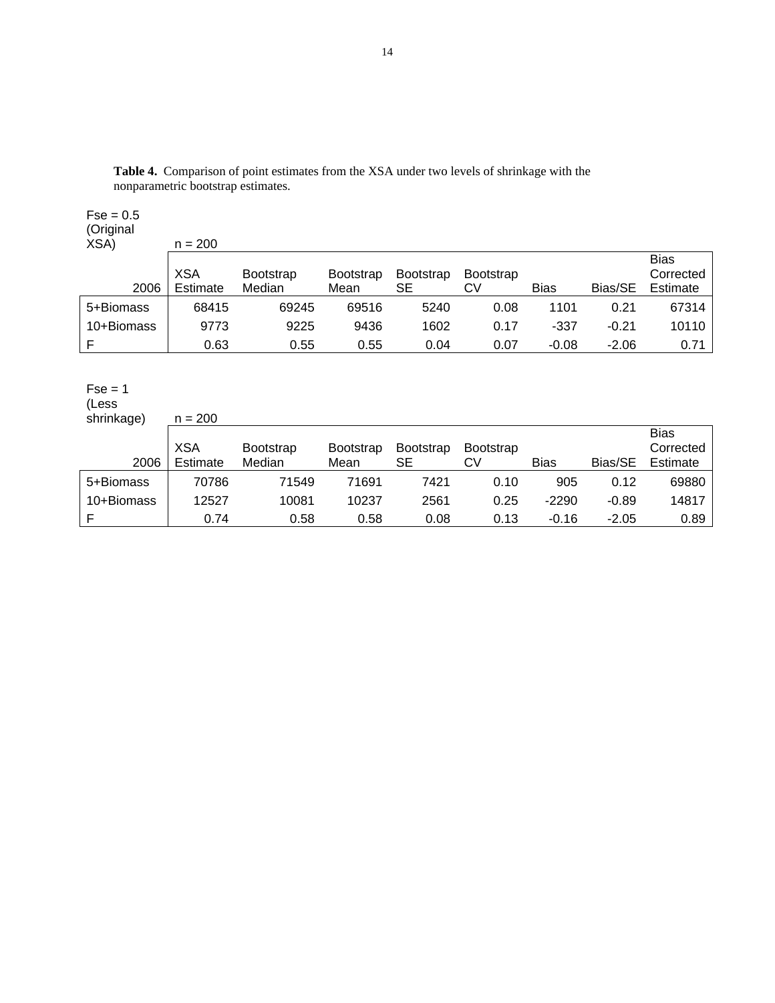| $Fse = 0.5$<br>(Original<br>XSA) | $n = 200$              |                            |                          |                        |                        |             |         |                                      |
|----------------------------------|------------------------|----------------------------|--------------------------|------------------------|------------------------|-------------|---------|--------------------------------------|
| 2006                             | <b>XSA</b><br>Estimate | <b>Bootstrap</b><br>Median | <b>Bootstrap</b><br>Mean | <b>Bootstrap</b><br>SЕ | <b>Bootstrap</b><br>CV | <b>Bias</b> | Bias/SE | <b>Bias</b><br>Corrected<br>Estimate |
| 5+Biomass                        | 68415                  | 69245                      | 69516                    | 5240                   | 0.08                   | 1101        | 0.21    | 67314                                |
| 10+Biomass                       | 9773                   | 9225                       | 9436                     | 1602                   | 0.17                   | -337        | $-0.21$ | 10110                                |
| F                                | 0.63                   | 0.55                       | 0.55                     | 0.04                   | 0.07                   | $-0.08$     | $-2.06$ | 0.71                                 |

**Table 4.** Comparison of point estimates from the XSA under two levels of shrinkage with the nonparametric bootstrap estimates.

# $Fse = 1$

(Less shrinkage) n = 200

| 2006       | <b>XSA</b><br>Estimate | <b>Bootstrap</b><br>Median | <b>Bootstrap</b><br>Mean | <b>Bootstrap</b><br>SЕ | <b>Bootstrap</b><br>CV | Bias    | Bias/SE | <b>Bias</b><br>Corrected<br>Estimate |
|------------|------------------------|----------------------------|--------------------------|------------------------|------------------------|---------|---------|--------------------------------------|
| 5+Biomass  | 70786                  | 71549                      | 71691                    | 7421                   | 0.10                   | 905     | 0.12    | 69880                                |
| 10+Biomass | 12527                  | 10081                      | 10237                    | 2561                   | 0.25                   | $-2290$ | $-0.89$ | 14817                                |
|            | 0.74                   | 0.58                       | 0.58                     | 0.08                   | 0.13                   | $-0.16$ | $-2.05$ | 0.89                                 |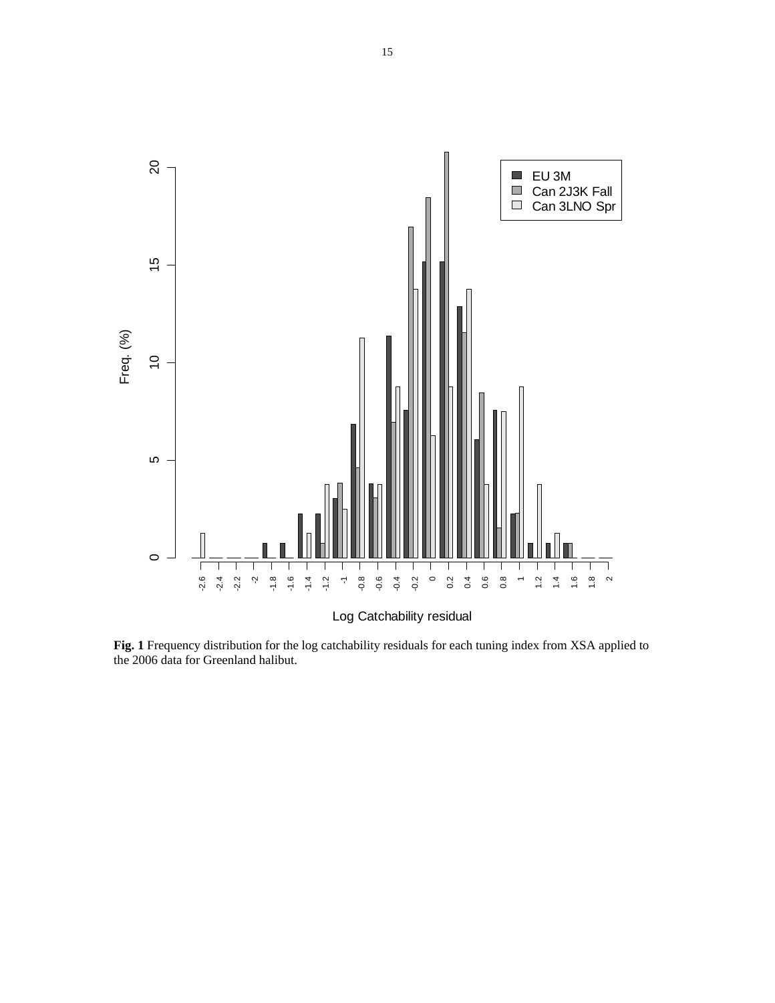

**Fig. 1** Frequency distribution for the log catchability residuals for each tuning index from XSA applied to the 2006 data for Greenland halibut.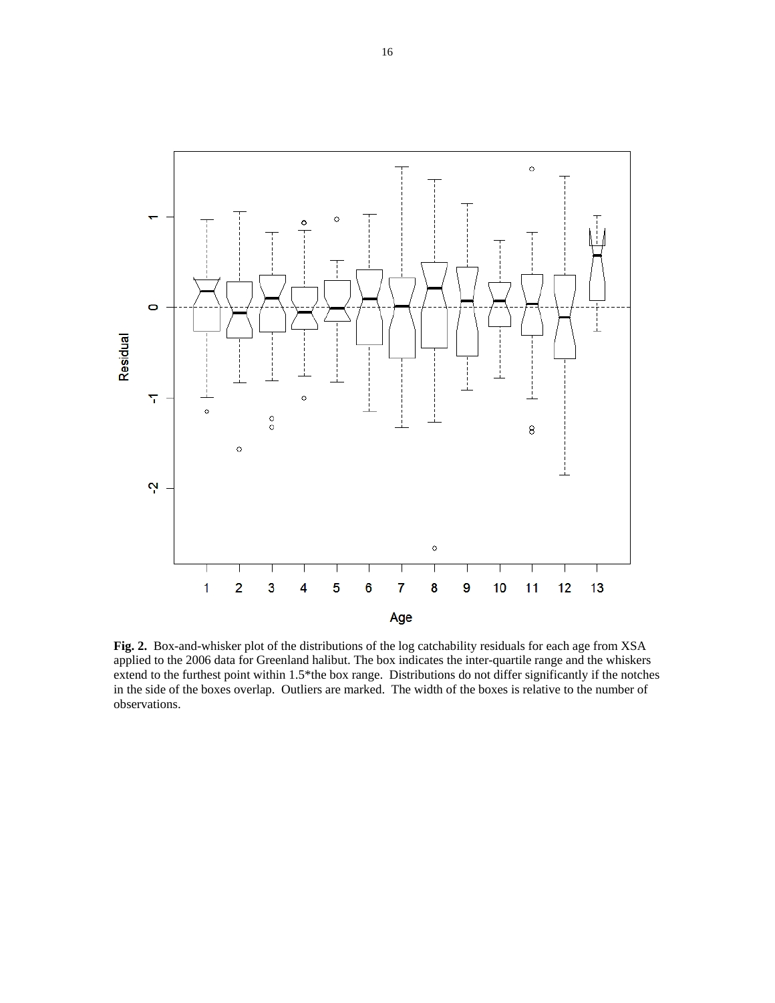

**Fig. 2.** Box-and-whisker plot of the distributions of the log catchability residuals for each age from XSA applied to the 2006 data for Greenland halibut. The box indicates the inter-quartile range and the whiskers extend to the furthest point within 1.5\*the box range. Distributions do not differ significantly if the notches in the side of the boxes overlap. Outliers are marked. The width of the boxes is relative to the number of observations.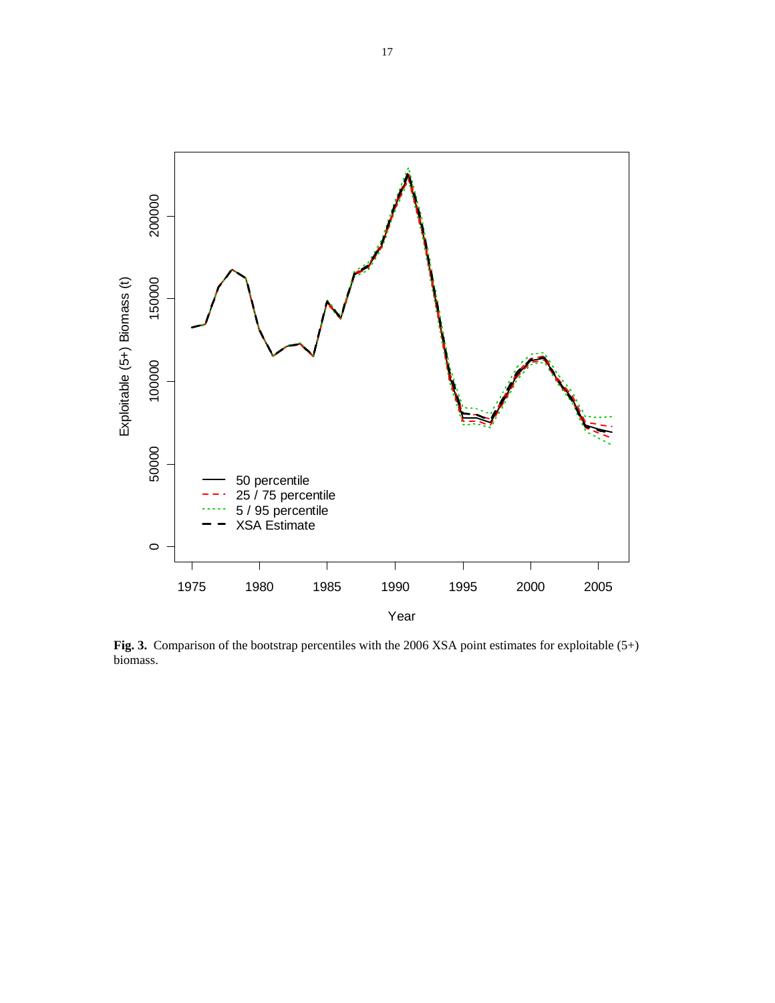

**Fig. 3.** Comparison of the bootstrap percentiles with the 2006 XSA point estimates for exploitable (5+) biomass.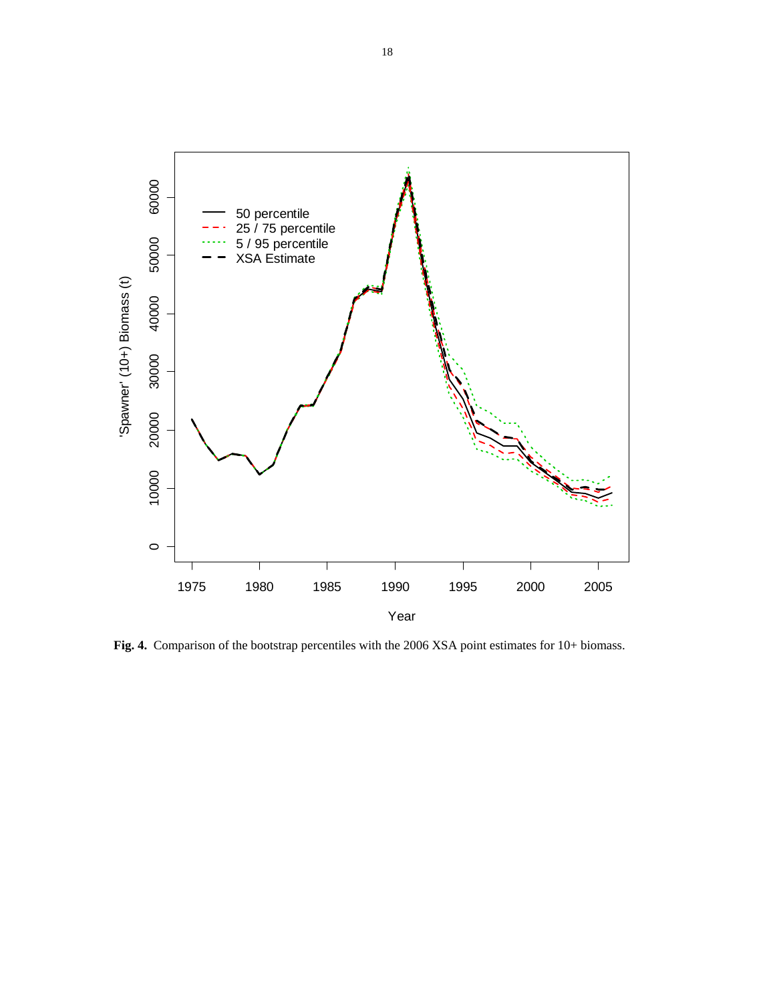

**Fig. 4.** Comparison of the bootstrap percentiles with the 2006 XSA point estimates for 10+ biomass.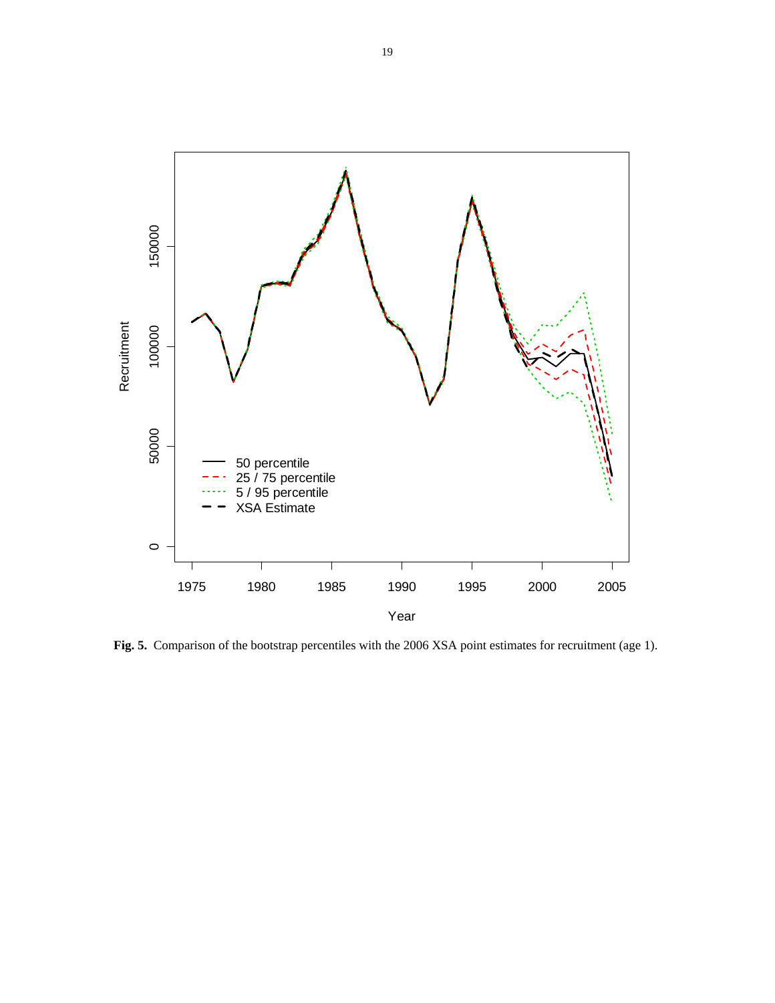

**Fig. 5.** Comparison of the bootstrap percentiles with the 2006 XSA point estimates for recruitment (age 1).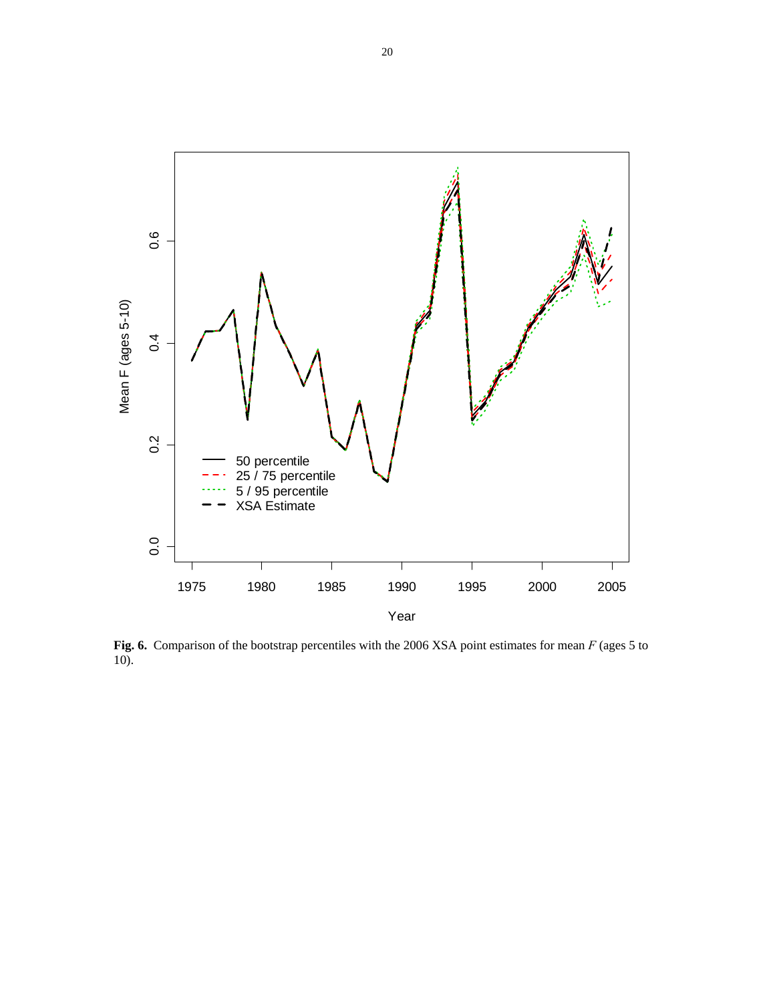

 **Fig. 6.** Comparison of the bootstrap percentiles with the 2006 XSA point estimates for mean *F* (ages 5 to 10).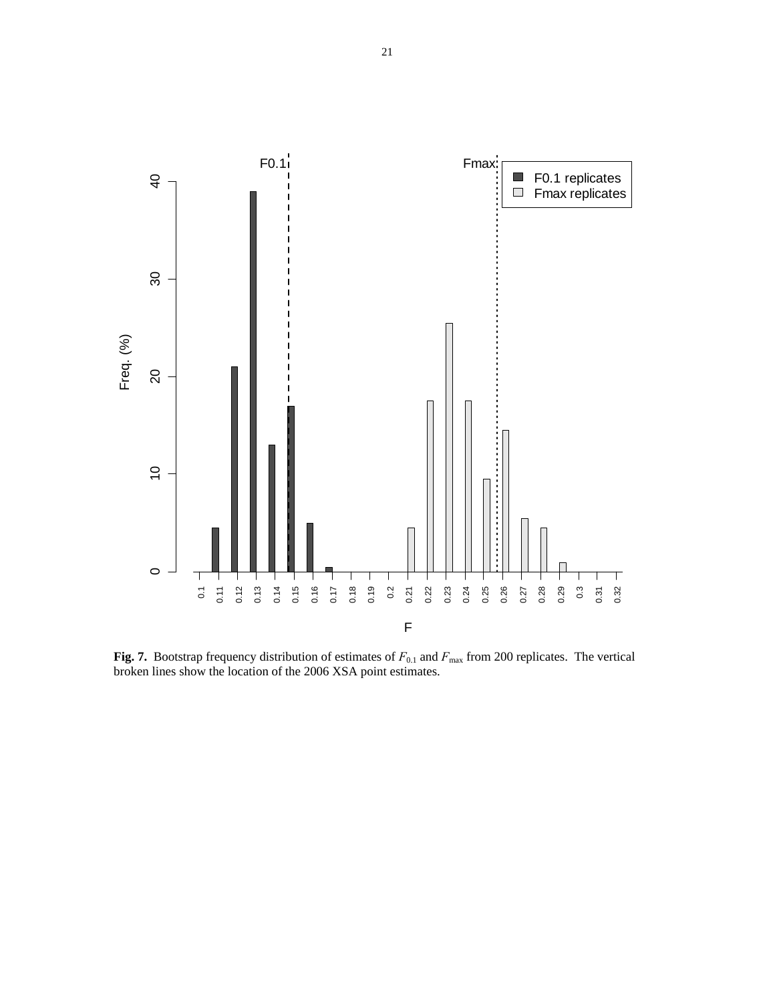

**Fig. 7.** Bootstrap frequency distribution of estimates of  $F_{0.1}$  and  $F_{\text{max}}$  from 200 replicates. The vertical broken lines show the location of the 2006 XSA point estimates.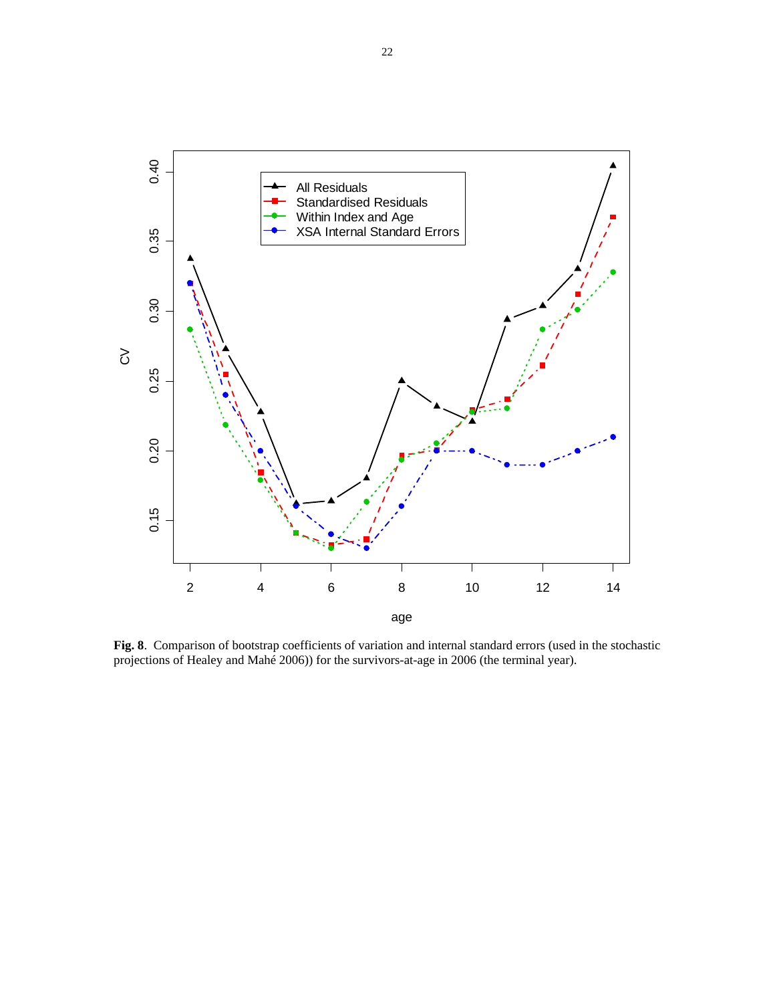

**Fig. 8**. Comparison of bootstrap coefficients of variation and internal standard errors (used in the stochastic projections of Healey and Mahé 2006)) for the survivors-at-age in 2006 (the terminal year).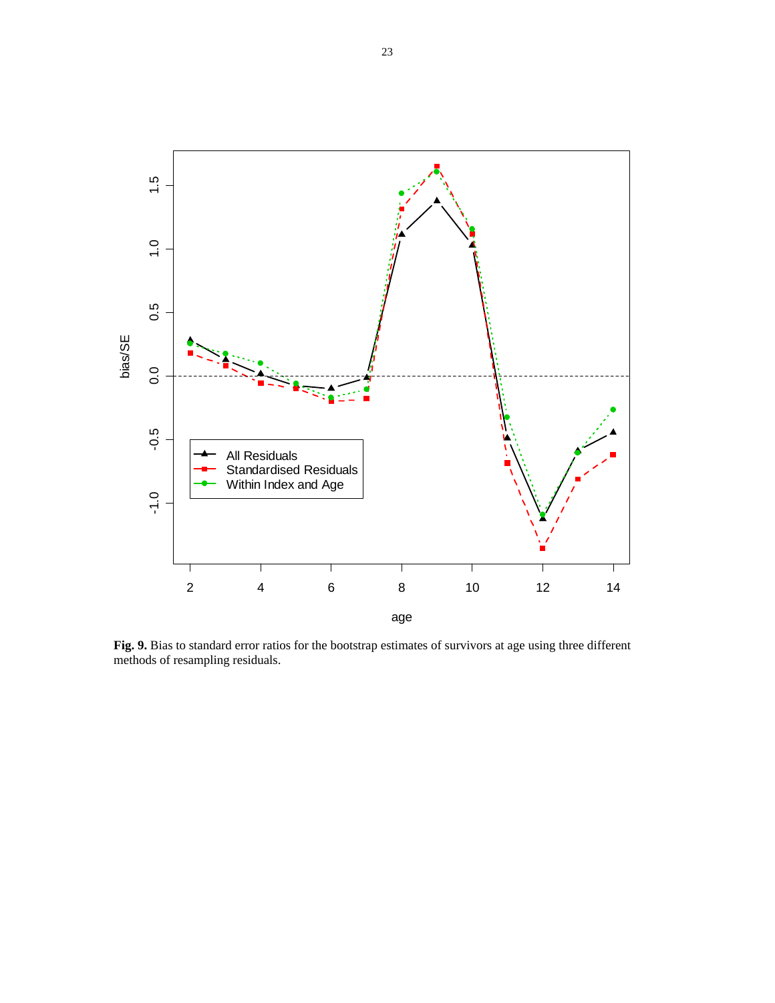

**Fig. 9.** Bias to standard error ratios for the bootstrap estimates of survivors at age using three different methods of resampling residuals.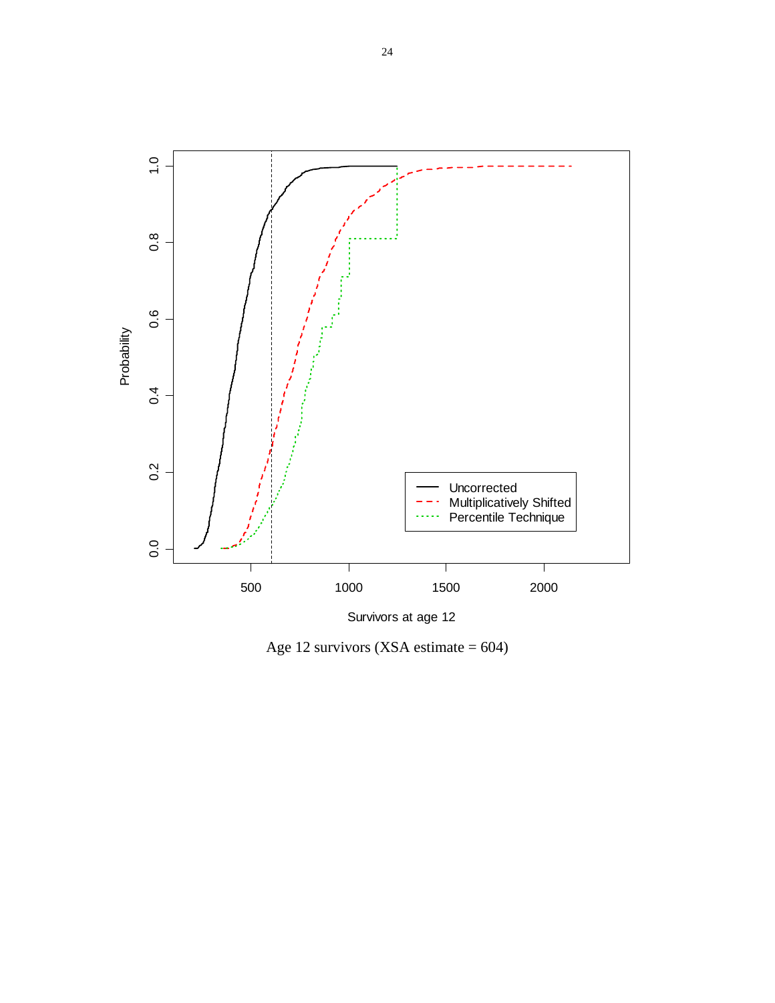

Age 12 survivors (XSA estimate = 604)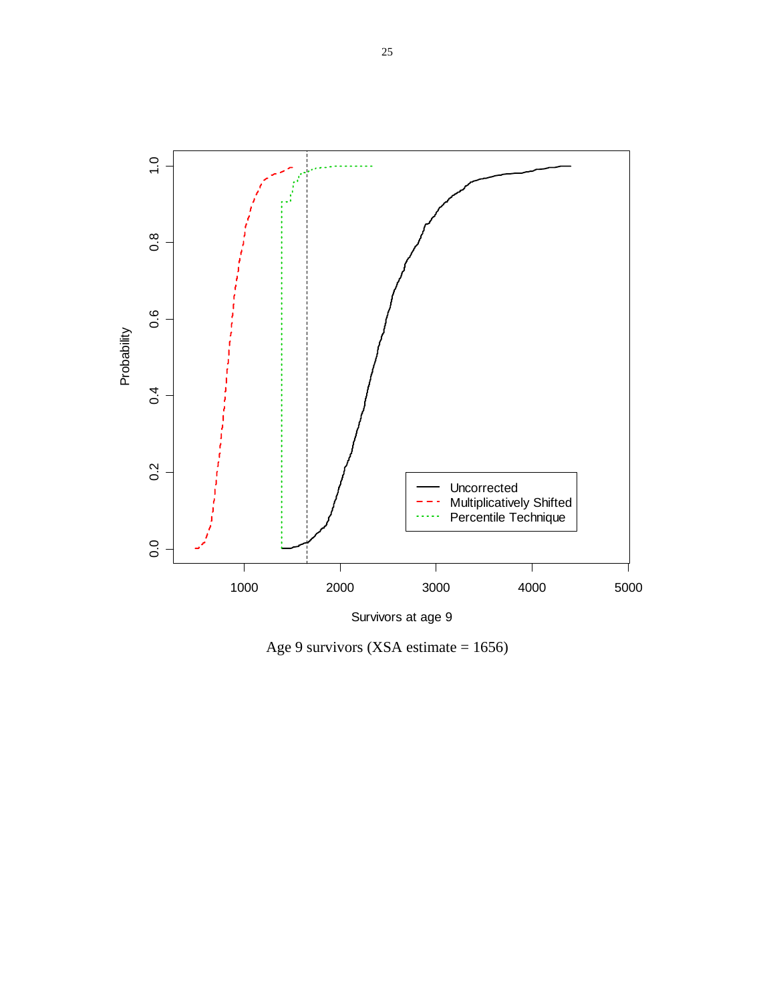

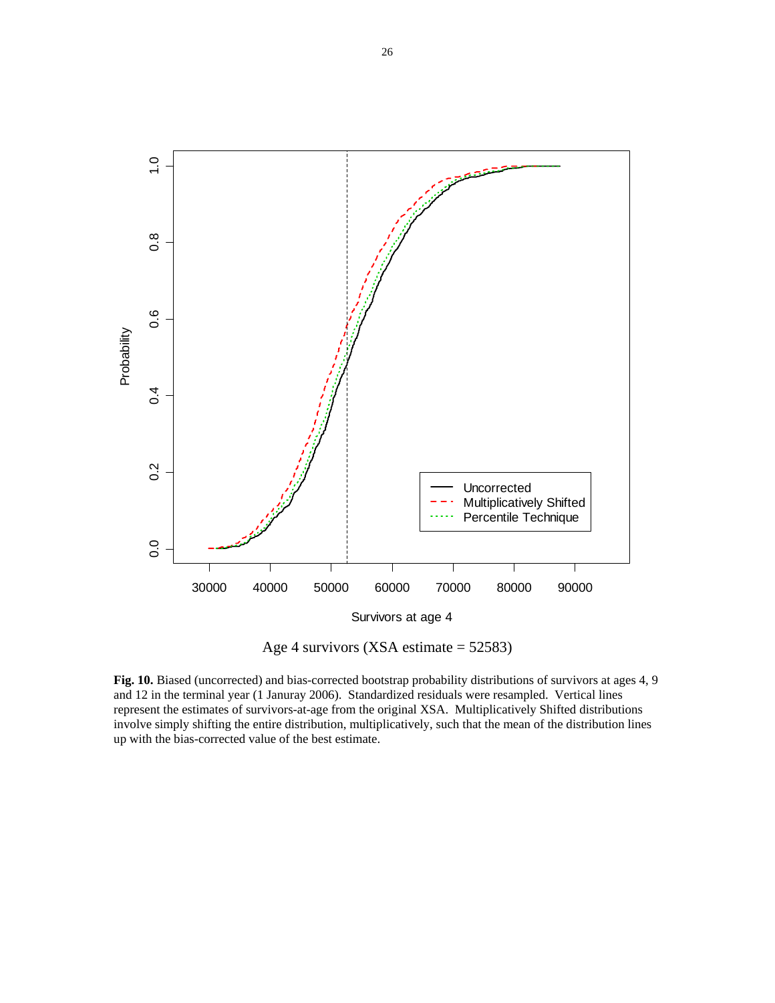

Age 4 survivors (XSA estimate = 52583)

**Fig. 10.** Biased (uncorrected) and bias-corrected bootstrap probability distributions of survivors at ages 4, 9 and 12 in the terminal year (1 Januray 2006). Standardized residuals were resampled. Vertical lines represent the estimates of survivors-at-age from the original XSA. Multiplicatively Shifted distributions involve simply shifting the entire distribution, multiplicatively, such that the mean of the distribution lines up with the bias-corrected value of the best estimate.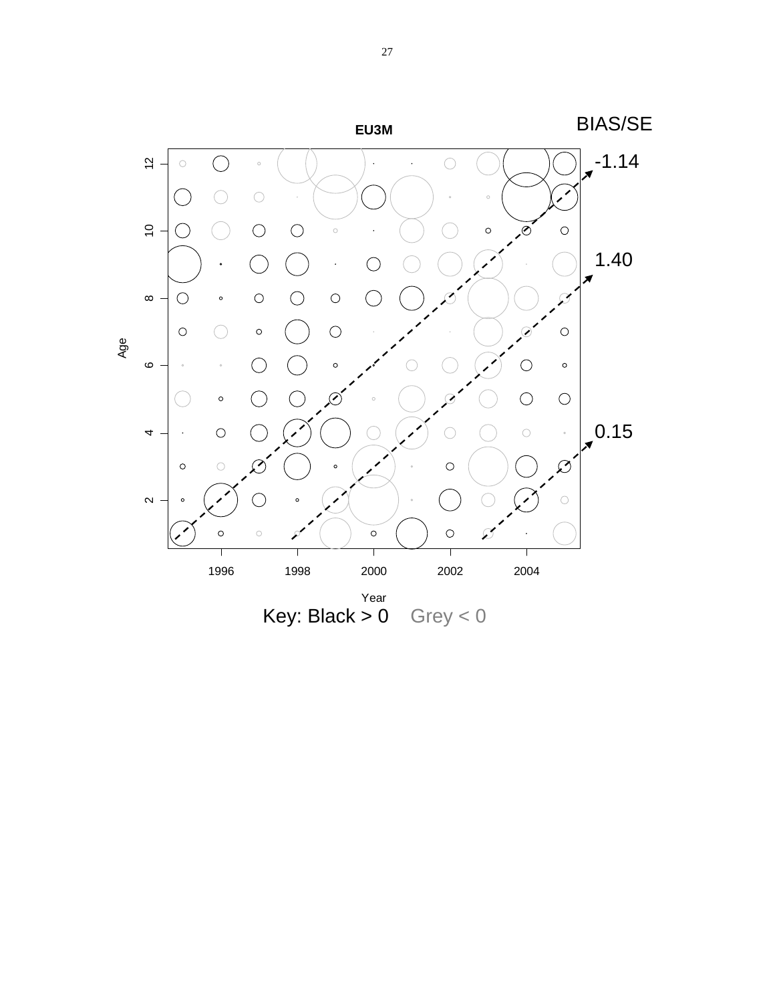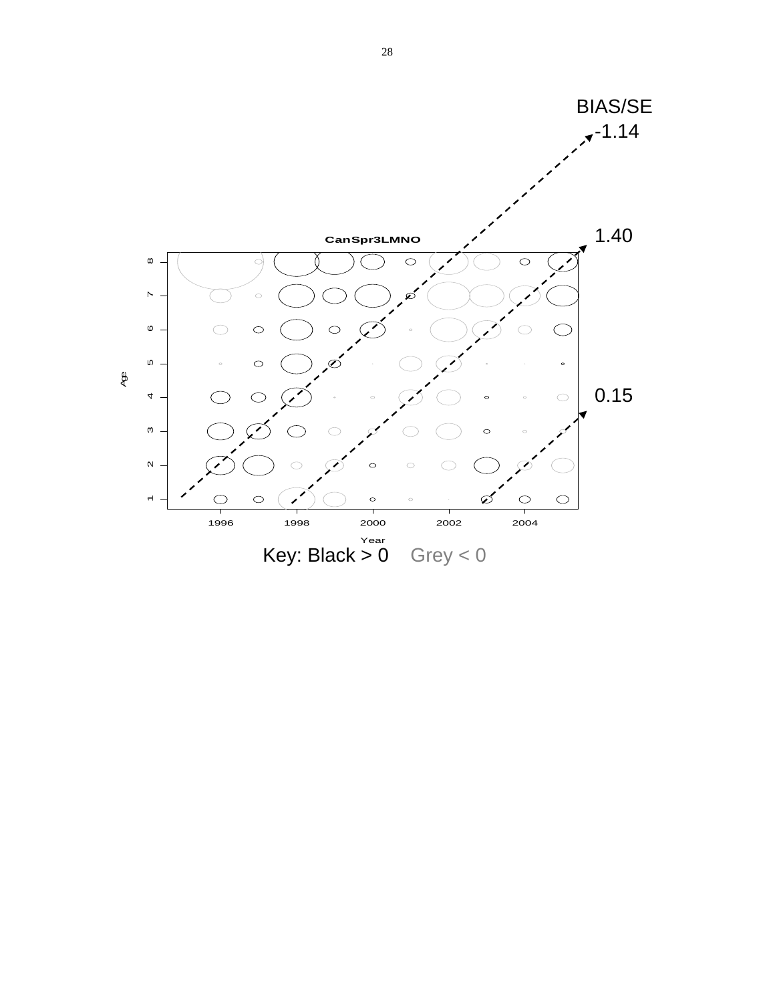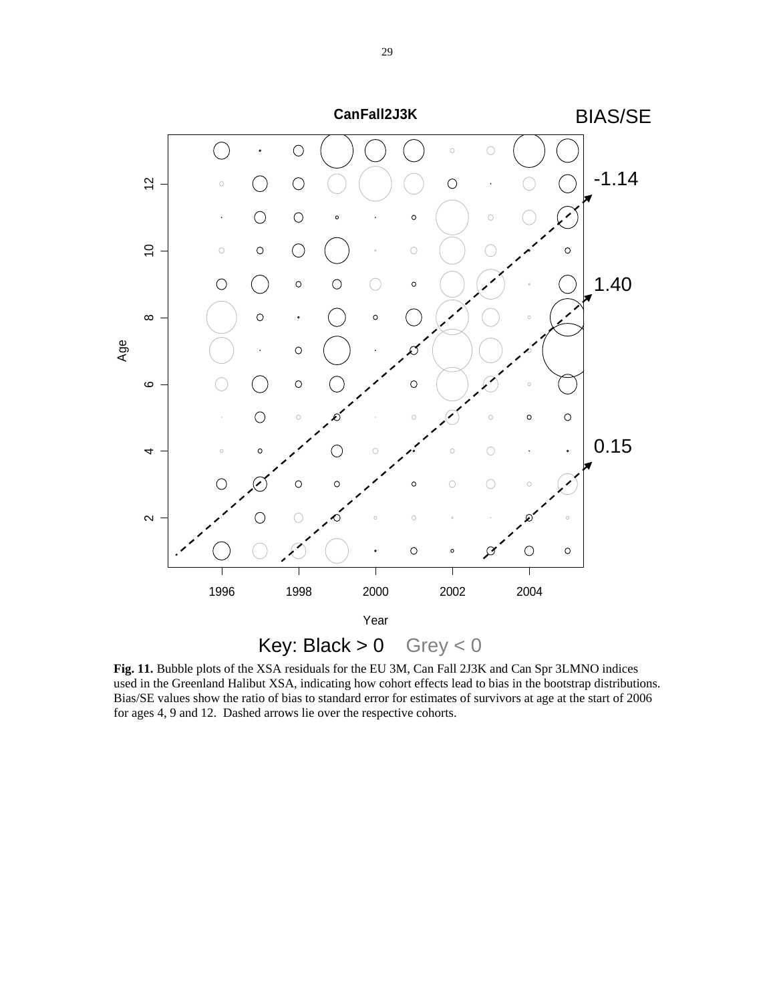

**Fig. 11.** Bubble plots of the XSA residuals for the EU 3M, Can Fall 2J3K and Can Spr 3LMNO indices used in the Greenland Halibut XSA, indicating how cohort effects lead to bias in the bootstrap distributions. Bias/SE values show the ratio of bias to standard error for estimates of survivors at age at the start of 2006 for ages 4, 9 and 12. Dashed arrows lie over the respective cohorts.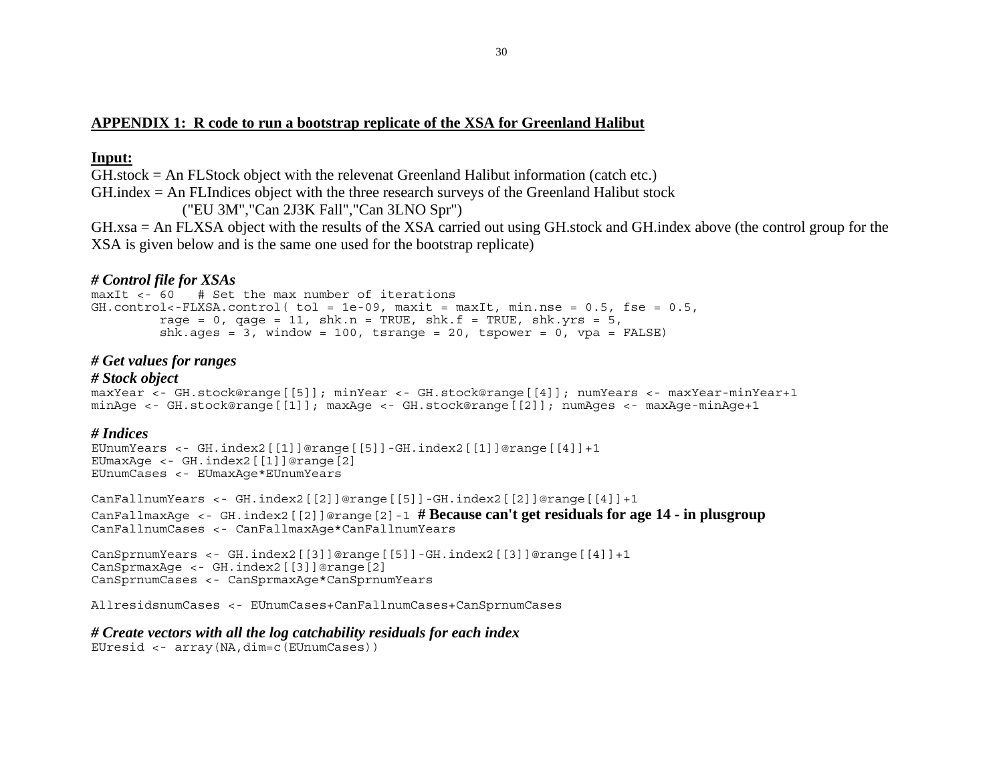## **APPENDIX 1: R code to run a bootstrap replicate of the XSA for Greenland Halibut**

## **Input:**

GH.stock = An FLStock object with the relevenat Greenland Halibut information (catch etc.)

GH.index = An FLIndices object with the three research surveys of the Greenland Halibut stock

("EU 3M","Can 2J3K Fall","Can 3LNO Spr")

GH.xsa = An FLXSA object with the results of the XSA carried out using GH.stock and GH.index above (the control group for the XSA is given below and is the same one used for the bootstrap replicate)

# *# Control file for XSAs*

 $maxIt  $\leq 60 +$  Set the max number of iterations$  $GH.control \leftarrow FLXSA.control (tol = 1e-09, maxit = maxIt, min.nse = 0.5, fse = 0.5,$ rage =  $0$ , gage =  $11$ , shk.n = TRUE, shk.f = TRUE, shk.yrs =  $5$ , shk.ages =  $3$ , window = 100, tsrange = 20, tspower = 0, vpa = FALSE)

## *# Get values for ranges*

## *# Stock object*

```
maxYear <- GH.stock@range[[5]]; minYear <- GH.stock@range[[4]]; numYears <- maxYear-minYear+1 
minAge <- GH.stock@range[[1]]; maxAge <- GH.stock@range[[2]]; numAges <- maxAge-minAge+1
```
## *# Indices*

```
EUnumYears <- GH.index2[[1]]@range[[5]]-GH.index2[[1]]@range[[4]]+1 
EUmaxAge <- GH.index2[[1]]@range[2] 
EUnumCases <- EUmaxAge*EUnumYears
```

```
CanFallnumYears <- GH.index2[[2]]@range[[5]]-GH.index2[[2]]@range[[4]]+1 
CanFallmaxAge <- GH.index2[[2]]@range[2]-1 # Because can't get residuals for age 14 - in plusgroup
CanFallnumCases <- CanFallmaxAge*CanFallnumYears
```

```
CanSprnumYears <- GH.index2[[3]]@range[[5]]-GH.index2[[3]]@range[[4]]+1 
CanSprmaxAge <- GH.index2[[3]]@range[2] 
CanSprnumCases <- CanSprmaxAge*CanSprnumYears
```

```
AllresidsnumCases <- EUnumCases+CanFallnumCases+CanSprnumCases
```
## *# Create vectors with all the log catchability residuals for each index*

EUresid <- array(NA,dim=c(EUnumCases))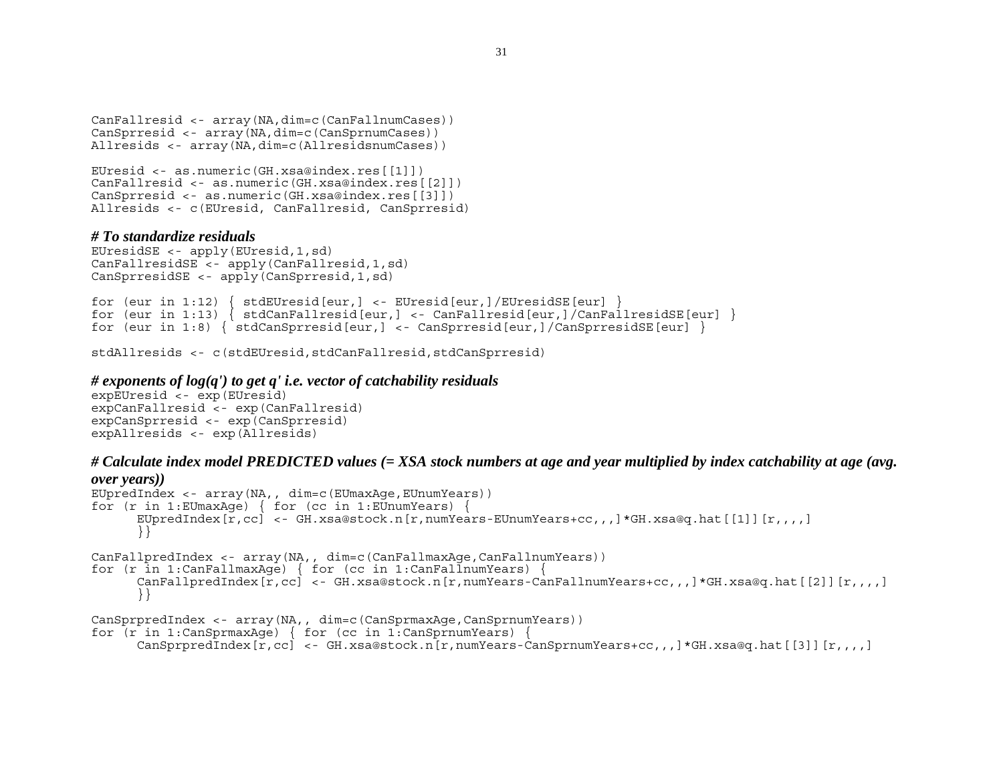```
CanFallresid <- array(NA,dim=c(CanFallnumCases)) 
CanSprresid <- array(NA,dim=c(CanSprnumCases)) 
Allresids <- array(NA,dim=c(AllresidsnumCases))
```

```
EUresid <- as.numeric(GH.xsa@index.res[[1]]) 
CanFallresid <- as.numeric(GH.xsa@index.res[[2]]) 
CanSprresid <- as.numeric(GH.xsa@index.res[[3]]) 
Allresids <- c(EUresid, CanFallresid, CanSprresid)
```
## *# To standardize residuals*

```
EUresidSE <- apply(EUresid,1,sd) 
CanFallresidSE <- apply(CanFallresid,1,sd) 
CanSprresidSE <- apply(CanSprresid,1,sd)
```

```
for (eur in 1:12) \{ stdEUresid[eur,] <- EUresid[eur,]/EUresidSE[eur] \}for (eur in 1:13) { stdCanFallresid[eur,] <- CanFallresid[eur,]/CanFallresidSE[eur] } 
for (eur in 1:8) { stdCanSprresid[eur,] <- CanSprresid[eur,]/CanSprresidSE[eur] }
```
stdAllresids <- c(stdEUresid,stdCanFallresid,stdCanSprresid)

### *# exponents of log(q') to get q' i.e. vector of catchability residuals*

```
expEUresid <- exp(EUresid) 
expCanFallresid <- exp(CanFallresid) 
expCanSprresid <- exp(CanSprresid) 
expAllresids <- exp(Allresids)
```
## *# Calculate index model PREDICTED values (= XSA stock numbers at age and year multiplied by index catchability at age (avg.*

```
over years)) 
EUpredIndex <- array(NA,, dim=c(EUmaxAge,EUnumYears)) 
for (r in 1:EUmaxAge) { for (cc in 1:EUnumYears) { 
      EUpredIndex[r, cc] <- GH.xsa@stock.n[r,numYears-EUnumYears+cc,,,]*GH.xsa@q.hat[[1]] [r, r, r]]
      }} 
CanFallpredIndex <- array(NA,, dim=c(CanFallmaxAge,CanFallnumYears)) 
for (r \text{ in } 1:\text{CanFallmaxAge}) { for (cc \text{ in } 1:\text{CanFallnumYears}) {
      CanFallpredIndex[r,cc] <- GH.xsa@stock.n[r,numYears-CanFallnumYears+cc,,,]*GH.xsa@q.hat[[2]][r,,,,] 
      }} 
CanSprpredIndex <- array(NA,, dim=c(CanSprmaxAge,CanSprnumYears)) 
for (r \text{ in } 1:\text{CanSprmaxAge}) { for (cc \text{ in } 1:\text{CanSprmumYears}) {
```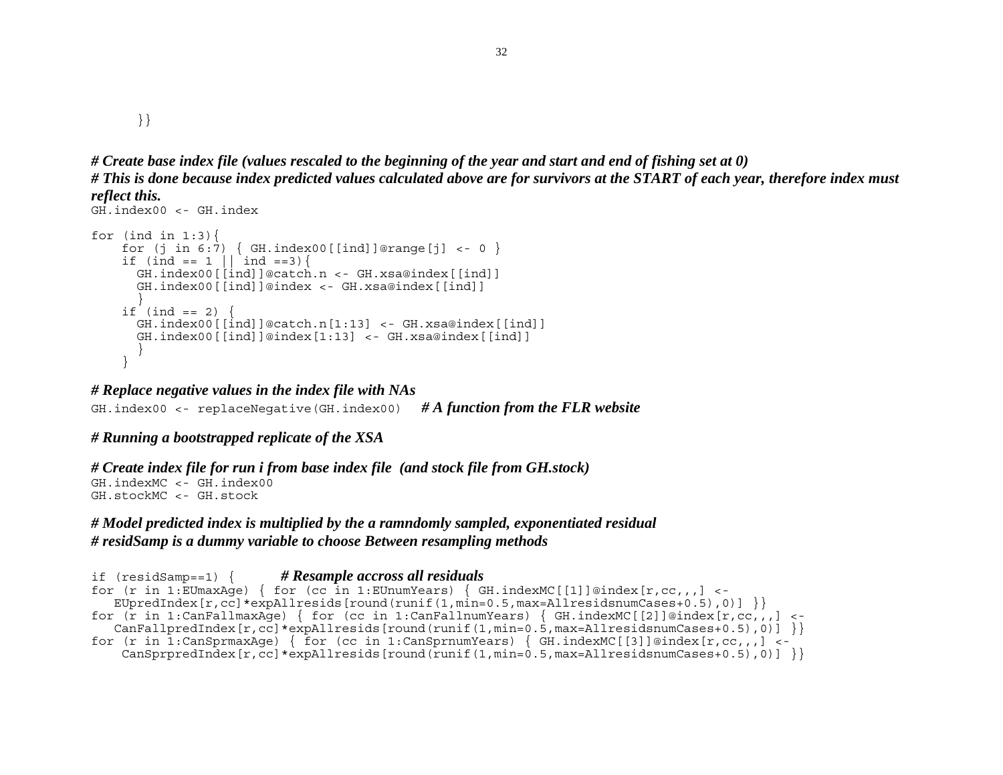}}

```
# Create base index file (values rescaled to the beginning of the year and start and end of fishing set at 0) 
# This is done because index predicted values calculated above are for survivors at the START of each year, therefore index must 
reflect this.
```

```
GH.index00 <- GH.index for (ind in 1:3) {
    for (j in 6:7) { GH.index00[[ind]]@range[j] <- 0 }
    if (ind == 1 \mid \text{ind} ==3) {
       GH.index00[[ind]]@catch.n <- GH.xsa@index[[ind]] 
       GH.index00[[ind]]@index <- GH.xsa@index[[ind]] 
 } 
    if (ind == 2) GH.index00[[ind]]@catch.n[1:13] <- GH.xsa@index[[ind]] 
       GH.index00[[ind]]@index[1:13] <- GH.xsa@index[[ind]] 
 } 
     }
```
## *# Replace negative values in the index file with NAs*

GH.index00 <- replaceNegative(GH.index00) *# A function from the FLR website*

# *# Running a bootstrapped replicate of the XSA*

*# Create index file for run i from base index file (and stock file from GH.stock)* 

GH.indexMC <- GH.index00 GH.stockMC <- GH.stock

## *# Model predicted index is multiplied by the a ramndomly sampled, exponentiated residual # residSamp is a dummy variable to choose Between resampling methods*

```
if (residSamp==1) { # Resample accross all residuals
for (r in 1:EUmaxAge) { for (cc in 1:EUnumYears) { GH.indexMC[[1]]@index[r,cc,,,] <-
   EUpredIndex[r, cc]*expAllresids[round(runit(1,min=0.5,max=AllresidsnumCases+0.5),0)]}
for (r \text{ in } 1:\text{CanFallmaxAge}) { for (cc in 1:CanFallnumYears) { GH.indexMC[[2]]@index[r,cc,,,] <-
   CanFallpredIndex[r,cc]*expAllresids[round(runif(1,min=0.5,max=AllresidsnumCases+0.5),0)]for (r in 1:CanSprmaxAqe) { for (cc in 1:CanSprnumYears) { GH.indexMC[[3]]@index[r,cc,,,] <-
   CanSprpredIndex[r,cc]*expAllresids[round(runit(1,min=0.5,max=AllresidsnumCases+0.5),0)]
```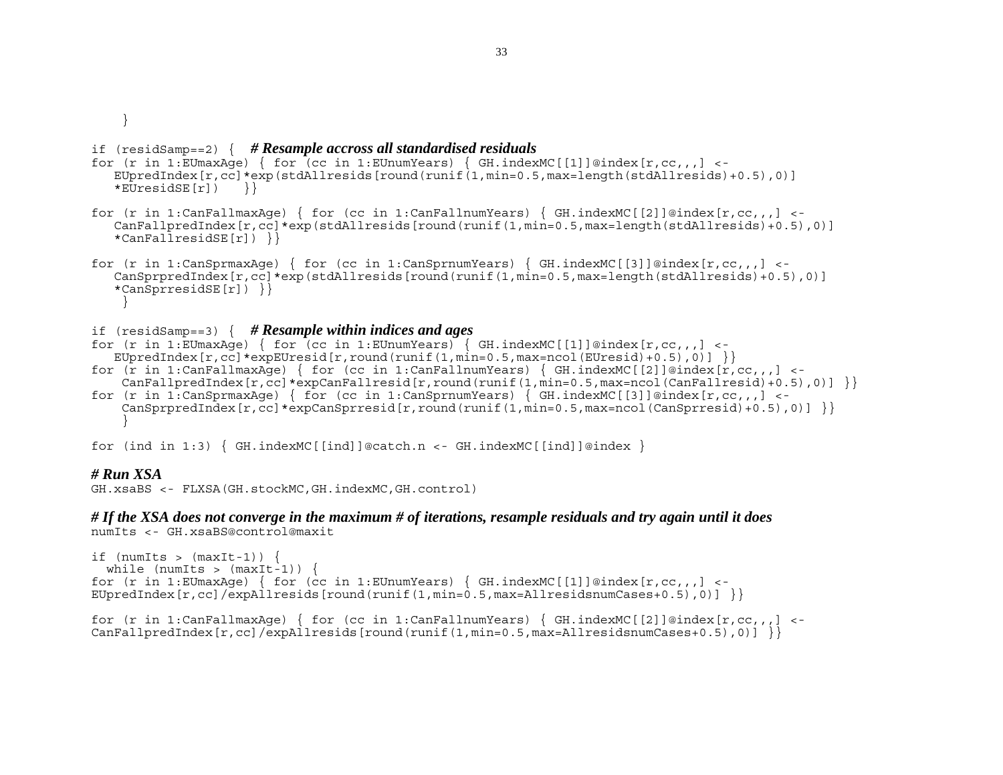}

### if (residSamp==2) { *# Resample accross all standardised residuals*

```
for (r in 1:EUmaxAge) { for (cc in 1:EUnumYears) { GH.indexMC[[1]]@index[r,cc,,,] <- 
   EUpredIndex[r, cc]*exp(stdAllresids[round(runif(1,min=0.5,max=length(stdAllresids)+0.5),0)]
   *EUresidSE[r]) }
```
for (r in 1:CanFallmaxAge) { for (cc in 1:CanFallnumYears) {  $GH.indexMC[[2]]@index[r,cc,$ , ] <- CanFallpredIndex[r,cc]\*exp(stdAllresids[round(runif(1,min=0.5,max=length(stdAllresids)+0.5),0)] \*CanFallresidSE $[r]$ ) }

```
for (r in 1:CanSprmaxAge) { for (cc in 1:CanSprnumYears) { GH.indexMC[[3]]@index[r,cc,, ] <-
    CanSprpredIndex[r,cc]*exp(stdAllresids[round(runif(1,min=0.5,max=length(stdAllresids)+0.5),0)] 
    *CanSprresidSE[r]) }} 
 }
```
### if (residSamp==3) { *# Resample within indices and ages*

```
for (r in 1:EUmaxAqe) { for (cc in 1:EUnumYears) { GH.indexMC[[1]]@index[r,cc,,] <-
  EUpredIndex[r, cc]*expEUresid[r, round(runif(1,min=0.5,max=ncol(EUresid)+0.5),0)]for (r in 1:CanFallmaxAge) { for (cc in 1:CanFallnumYears) { GH.indexMC[[2]]@index[r,cc,1] < -1CanFallpredIndex[r,cc]*expCanFallresid[r,round(runif(1,min=0.5,max=ncol(CanFallresid)+0.5),0)]
```
for (r in 1:CanSprmaxAge) { for (cc in 1:CanSprnumYears) { GH.indexMC[[3]]@index[r,cc,,,] <- $CanSprpredIndex[r,cc]*expCanSprresid[r,round(runif(1,min=0.5,max=ncol(CanSprresid)+0.5),0)]$ }

for (ind in 1:3)  $\{GH.indekMC[[ind]]@catch.n < -GH.indexMC[[ind]]@index \}$ 

### *# Run XSA*

```
GH.xsaBS <- FLXSA(GH.stockMC,GH.indexMC,GH.control)
```
### *# If the XSA does not converge in the maximum # of iterations, resample residuals and try again until it does*  numIts <- GH.xsaBS@control@maxit

```
if (numIts > (maxIt-1)) {
 while (numIts > (maxIt-1)) {
for (r in 1:EUmaxAge) { for (cc in 1:EUnumYears) { GH.indexMC[[1]]@index[r,cc,,,] <-
EUpredIndex[r, cc]/expAllresids[round(runif(1,min=0.5,max=AllresidsnumCases+0.5),0)] }
```

```
for (r in 1:CanFallmaxAge) { for (cc in 1:CanFallnumYears) { GH.indexMC[[2]]@index[r,cc,, ] <-
CanFallpredIndex[r,cc]/expllinesids[round(runif(1,min=0.5,max=AllresidsnumCases+0.5),0)]
```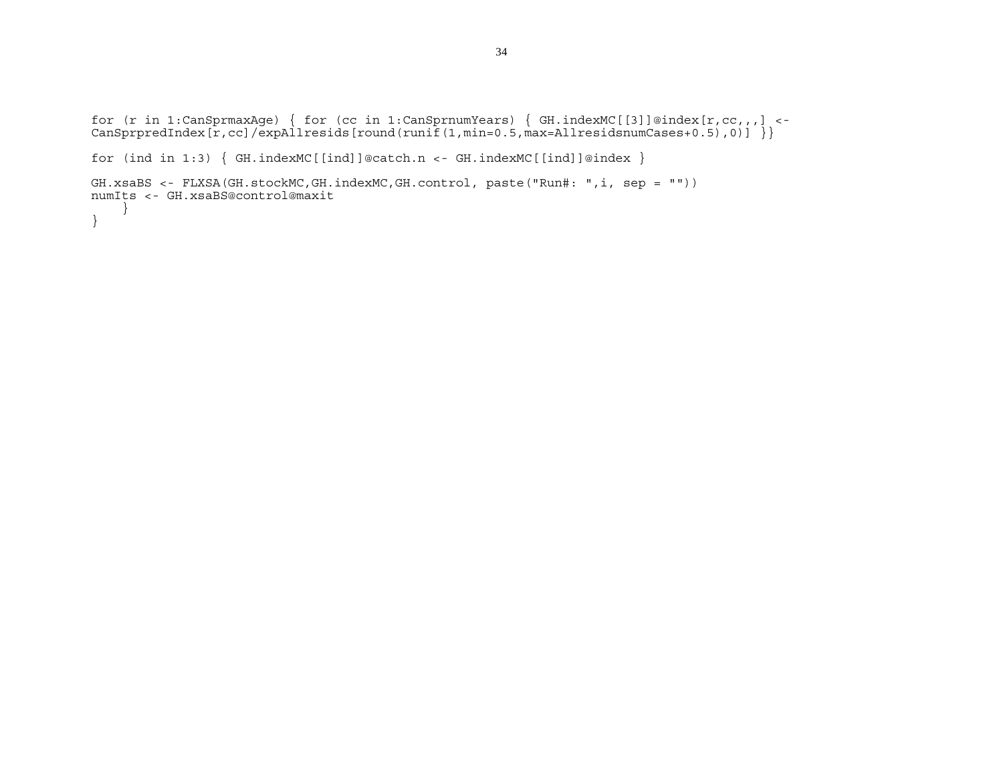```
for (r in 1:CanSprmaxAge) { for (cc in 1:CanSprnumYears) { GH.indexMC[[3]]@index[r,cc,,,] <- 
CanSprpredIndex[r,cc]/expAllresids[round(runif(1,min=0.5,max=AllresidsnumCases+0.5),0)] }}
```

```
for (ind in 1:3) { GH.indexMC[[ind]]@catch.n <- GH.indexMC[[ind]]@index }
```

```
GH.xsaBS <- FLXSA(GH.stockMC,GH.indexMC,GH.control, paste("Run#: ",i, sep = "")) 
numIts <- GH.xsaBS@control@maxit 
     } 
}
```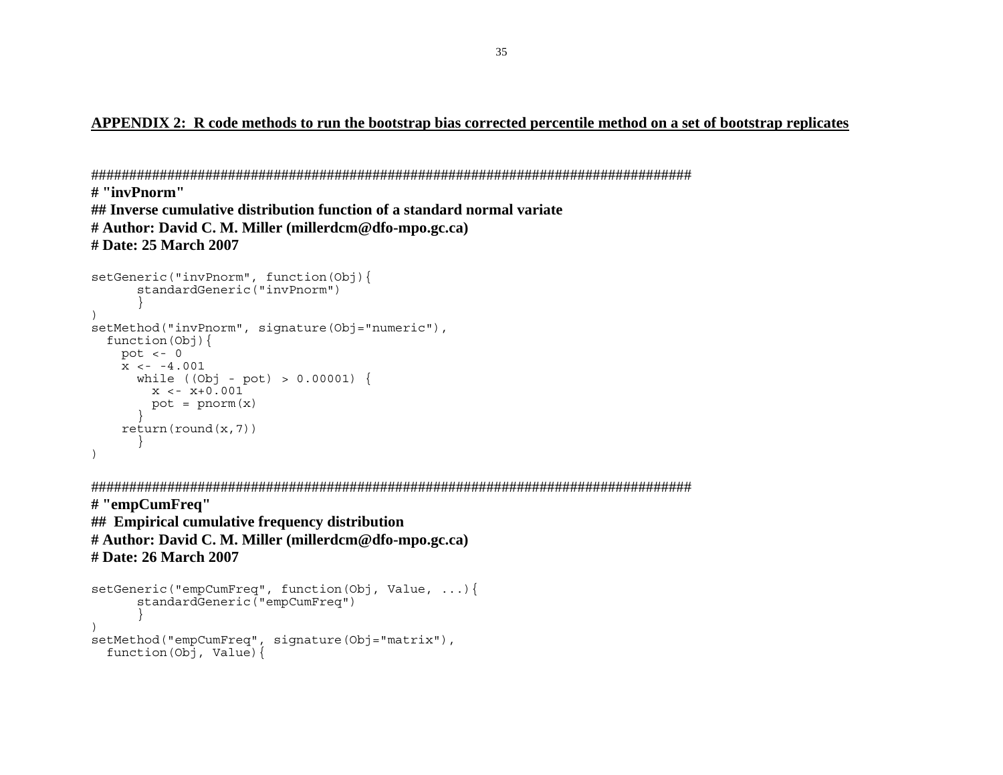## **APPENDIX 2: R code methods to run the bootstrap bias corrected percentile method on a set of bootstrap replicates**

```
############################################################################### # "invPnorm" ## Inverse cumulative distribution function of a standard normal variate # Author: David C. M. Miller (millerdcm@dfo-mpo.gc.ca) 
# Date: 25 March 2007
```

```
setGeneric("invPnorm", function(Obj){ 
      standardGeneric("invPnorm") 
 } 
) 
setMethod("invPnorm", signature(Obj="numeric"),
  function(Obj){ 
   pot <-0x \leftarrow -4.001while (Obj - pot) > 0.00001) {
x < -x+0.001pot = pnorm(x) } 
    return(round(x,7)) 
 } 
)
```
###############################################################################

**# "empCumFreq" ## Empirical cumulative frequency distribution # Author: David C. M. Miller (millerdcm@dfo-mpo.gc.ca) # Date: 26 March 2007** 

```
setGeneric("empCumFreq", function(Obj, Value, ...){ 
       standardGeneric("empCumFreq") 
 } 
) 
setMethod("empCumFreq", signature(Obj="matrix"), 
   function(Obj, Value){
```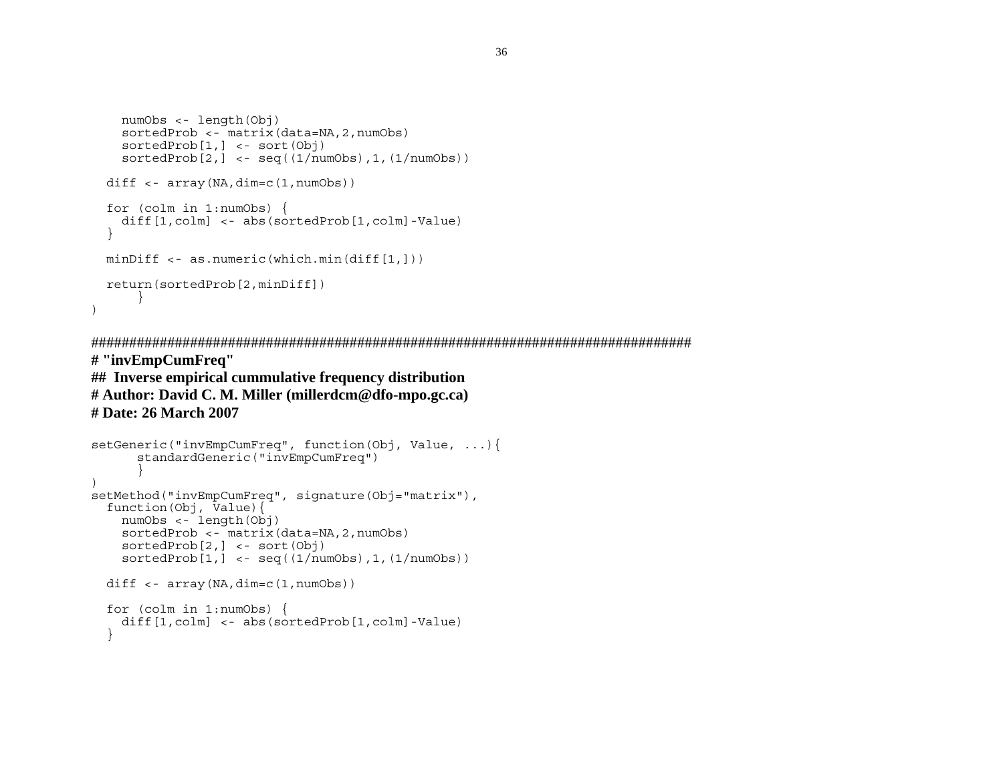```
 numObs <- length(Obj) 
    sortedProb <- matrix(data=NA, 2, numObs)
     sortedProb[1,] <- sort(Obj) 
    sortedProb[2,] < -seq((1/numObs),1,(1/numObs))diff \langle -\arctan(\text{NA}, \text{dim}=\text{c}(1, \text{numObs})) \rangle for (colm in 1:numObs) { 
    diff[1,colm] <- abs(sortedProb[1,colm]-Value)
 } 
  minDiff <- as.numeric(which.min(diff[1,])) 
  return(sortedProb[2,minDiff]) 
       } 
)
```
############################################################################### **# "invEmpCumFreq"** 

# **## Inverse empirical cummulative frequency distribution # Author: David C. M. Miller (millerdcm@dfo-mpo.gc.ca) # Date: 26 March 2007**

```
setGeneric("invEmpCumFreq", function(Obj, Value, ...){ 
        standardGeneric("invEmpCumFreq") 
 } 
) 
setMethod("invEmpCumFreq", signature(Obj="matrix"), 
  function(Obj, \bar{V}alue){
     numObs <- length(Obj) 
    sortedProb <- matrix(data=NA, 2, numObs)
     sortedProb[2,] <- sort(Obj) 
    sortedProb[1,] < -seq((1/numObs),1,(1/numObs))diff \langle -\arctan(\text{NA}, \text{dim}=\text{c}(1, \text{numObs})) \rangle for (colm in 1:numObs) { 
    diff[1,colm] <- abs(sortedProb[1,colm]-Value)
   }
```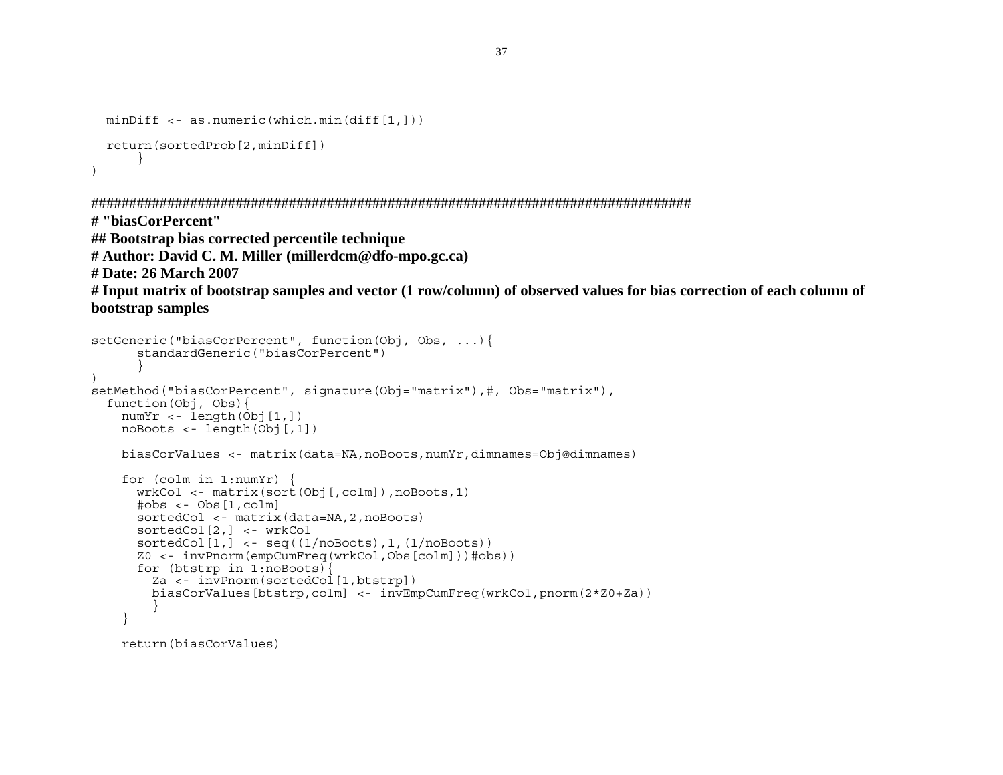```
 minDiff <- as.numeric(which.min(diff[1,])) 
  return(sortedProb[2,minDiff]) 
       } 
)
```

```
###############################################################################
```
**# "biasCorPercent"** 

**## Bootstrap bias corrected percentile technique** 

```
# Author: David C. M. Miller (millerdcm@dfo-mpo.gc.ca)
```
**# Date: 26 March 2007** 

```
# Input matrix of bootstrap samples and vector (1 row/column) of observed values for bias correction of each column of 
bootstrap samples
```

```
setGeneric("biasCorPercent", function(Obj, Obs, ...){ 
       standardGeneric("biasCorPercent") 
 } 
) 
setMethod("biasCorPercent", signature(Obj="matrix"),#, Obs="matrix"),
   function(Obj, Obs){ 
   numYr < - length(Obj[1,])
    noBoots <- length(Obj[,1]) 
     biasCorValues <- matrix(data=NA,noBoots,numYr,dimnames=Obj@dimnames) 
     for (colm in 1:numYr) { 
       wrkCol <- matrix(sort(Obj[,colm]),noBoots,1) 
       #obs <- Obs[1,colm] 
       sortedCol <- matrix(data=NA,2,noBoots) 
       sortedCol[2,] <- wrkCol 
       sortedCol[1,] <- seq((1/noBoots),1,(1/noBoots)) 
       Z0 <- invPnorm(empCumFreq(wrkCol,Obs[colm]))#obs)) 
       for (btstrp in 1:noBoots){ 
         Za <- invPnorm(sortedCol[1,btstrp]) 
         biasCorValues[btstrp,colm] <- invEmpCumFreq(wrkCol,pnorm(2*Z0+Za)) 
 } 
     } 
     return(biasCorValues)
```